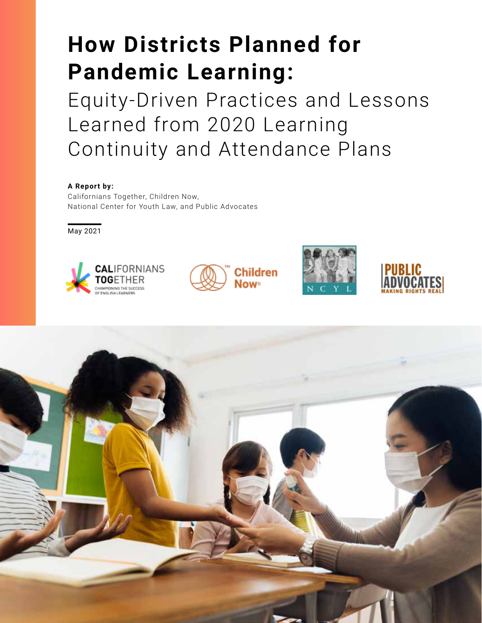# **How Districts Planned for Pandemic Learning:**

Equity-Driven Practices and Lessons Learned from 2020 Learning Continuity and Attendance Plans

### **A Report by:**

Californians Together, Children Now, National Center for Youth Law, and Public Advocates

May 2021



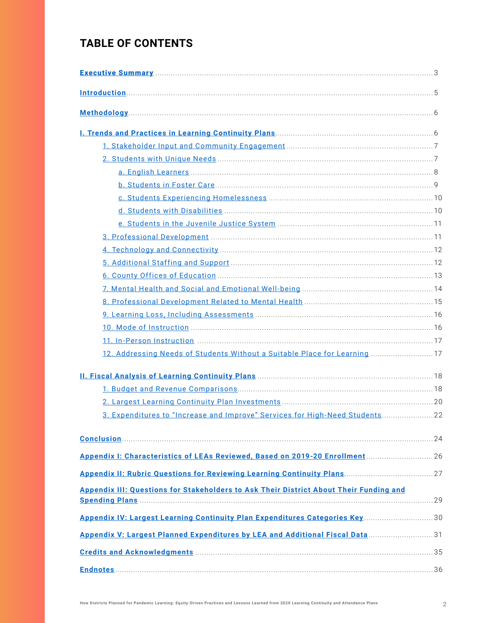# **TABLE OF CONTENTS**

| 12. Addressing Needs of Students Without a Suitable Place for Learning  17                    |  |
|-----------------------------------------------------------------------------------------------|--|
|                                                                                               |  |
|                                                                                               |  |
|                                                                                               |  |
| 3. Expenditures to "Increase and Improve" Services for High-Need Students 22                  |  |
|                                                                                               |  |
|                                                                                               |  |
|                                                                                               |  |
| <b>Appendix III: Questions for Stakeholders to Ask Their District About Their Funding and</b> |  |
| Appendix IV: Largest Learning Continuity Plan Expenditures Categories Key 30                  |  |
| Appendix V: Largest Planned Expenditures by LEA and Additional Fiscal Data 31                 |  |
|                                                                                               |  |
|                                                                                               |  |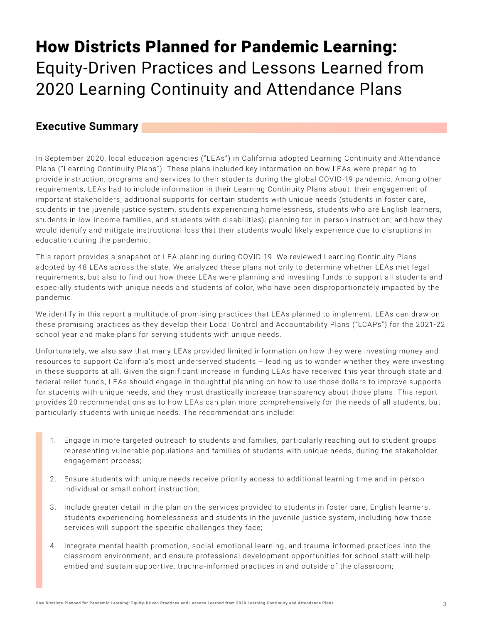# <span id="page-2-0"></span>How Districts Planned for Pandemic Learning: Equity-Driven Practices and Lessons Learned from 2020 Learning Continuity and Attendance Plans

### **Executive Summary**

In September 2020, local education agencies ("LE As") in California adopted Learning Continuity and Attendance Plans ("Learning Continuity Plans"). These plans included key information on how LE As were preparing to provide instruction, programs and services to their students during the global COVID-19 pandemic. Among other requirements, LE As had to include information in their Learning Continuity Plans about: their engagement of important stakeholders; additional supports for certain students with unique needs (students in foster care, students in the juvenile justice system, students experiencing homelessness, students who are English learners, students in low-income families, and students with disabilities); planning for in-person instruction; and how they would identify and mitigate instructional loss that their students would likely experience due to disruptions in education during the pandemic.

This report provides a snapshot of LEA planning during COVID-19. We reviewed Learning Continuity Plans adopted by 48 LEAs across the state. We analyzed these plans not only to determine whether LEAs met legal requirements, but also to find out how these LE As were planning and investing funds to support all students and especially students with unique needs and students of color, who have been disproportionately impacted by the pandemic.

We identify in this report a multitude of promising practices that LEAs planned to implement. LEAs can draw on these promising practices as they develop their Local Control and Accountability Plans ("LCAPs") for the 2021-22 school year and make plans for serving students with unique needs.

Unfortunately, we also saw that many LE As provided limited information on how they were investing money and resources to support California's most underserved students – leading us to wonder whether they were investing in these supports at all. Given the significant increase in funding LE As have received this year through state and federal relief funds, LE As should engage in thoughtful planning on how to use those dollars to improve supports for students with unique needs, and they must drastically increase transparency about those plans. This report provides 20 recommendations as to how LE As can plan more comprehensively for the needs of all students, but particularly students with unique needs. The recommendations include:

- 1. Engage in more targeted outreach to students and families, particularly reaching out to student groups representing vulnerable populations and families of students with unique needs, during the stakeholder engagement process;
- 2. Ensure students with unique needs receive priority access to additional learning time and in-person individual or small cohort instruction;
- 3. Include greater detail in the plan on the services provided to students in foster care, English learners, students experiencing homelessness and students in the juvenile justice system, including how those services will support the specific challenges they face;
- 4. Integrate mental health promotion, social-emotional learning, and trauma-informed practices into the classroom environment, and ensure professional development opportunities for school staff will help embed and sustain supportive, trauma-informed practices in and outside of the classroom;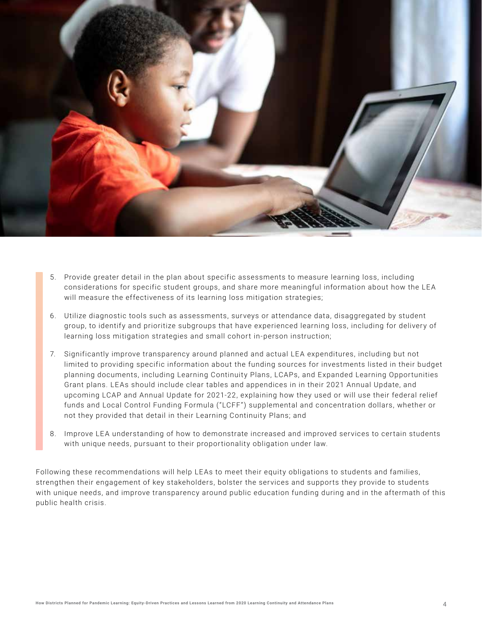

- 5. Provide greater detail in the plan about specific assessments to measure learning loss, including considerations for specific student groups, and share more meaningful information about how the LE A will measure the effectiveness of its learning loss mitigation strategies;
- 6. Utilize diagnostic tools such as assessments, surveys or attendance data, disaggregated by student group, to identify and prioritize subgroups that have experienced learning loss, including for delivery of learning loss mitigation strategies and small cohort in-person instruction;
- 7. Significantly improve transparency around planned and actual LE A expenditures, including but not limited to providing specific information about the funding sources for investments listed in their budget planning documents, including Learning Continuity Plans, LCAPs, and Expanded Learning Opportunities Grant plans. LE As should include clear tables and appendices in in their 2021 Annual Update, and upcoming LCAP and Annual Update for 2021-22, explaining how they used or will use their federal relief funds and Local Control Funding Formula ("LCFF") supplemental and concentration dollars, whether or not they provided that detail in their Learning Continuity Plans; and
- 8. Improve LE A understanding of how to demonstrate increased and improved services to certain students with unique needs, pursuant to their proportionality obligation under law.

Following these recommendations will help LEAs to meet their equity obligations to students and families, strengthen their engagement of key stakeholders, bolster the services and supports they provide to students with unique needs, and improve transparency around public education funding during and in the aftermath of this public health crisis.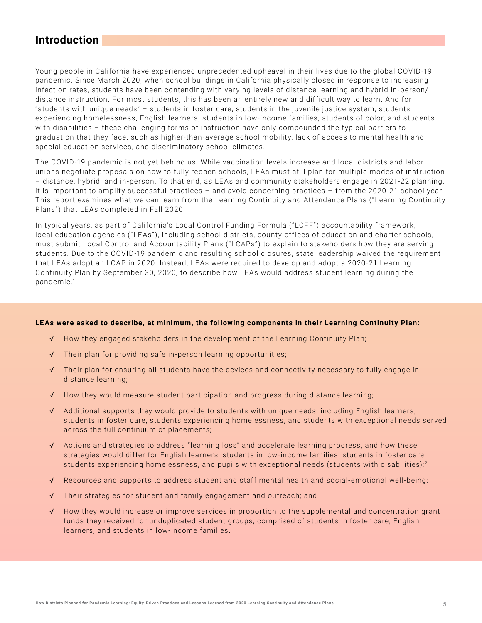### <span id="page-4-0"></span>**Introduction**

Young people in California have experienced unprecedented upheaval in their lives due to the global COVID -19 pandemic. Since March 2020, when school buildings in California physically closed in response to increasing infection rates, students have been contending with varying levels of distance learning and hybrid in-person/ distance instruction. For most students, this has been an entirely new and difficult way to learn. And for "students with unique needs" – students in foster care, students in the juvenile justice system, students experiencing homelessness, English learners, students in low-income families, students of color, and students with disabilities – these challenging forms of instruction have only compounded the typical barriers to graduation that they face, such as higher-than-average school mobility, lack of access to mental health and special education services, and discriminatory school climates.

The COVID-19 pandemic is not yet behind us. While vaccination levels increase and local districts and labor unions negotiate proposals on how to fully reopen schools, LE As must still plan for multiple modes of instruction – distance, hybrid, and in-person. To that end, as LE As and community stakeholders engage in 2021-22 planning, it is important to amplify successful practices – and avoid concerning practices – from the 2020 -21 school year. This report examines what we can learn from the Learning Continuity and Attendance Plans ("Learning Continuity Plans") that LEAs completed in Fall 2020.

In typical years, as part of California's Local Control Funding Formula ("LCFF") accountability framework, local education agencies ("LEAs"), including school districts, county offices of education and charter schools, must submit Local Control and Accountability Plans ("LCAPs") to explain to stakeholders how they are serving students. Due to the COVID-19 pandemic and resulting school closures, state leadership waived the requirement that LE As adopt an LCAP in 2020. Instead, LE As were required to develop and adopt a 2020 -21 Learning Continuity Plan by September 30, 2020, to describe how LE As would address student learning during the pandemic.1

#### **LEAs were asked to describe, at minimum, the following components in their Learning Continuity Plan:**

- √ How they engaged stakeholders in the development of the Learning Continuity Plan;
- √ Their plan for providing safe in-person learning opportunities;
- √ Their plan for ensuring all students have the devices and connectivity necessary to fully engage in distance learning;
- √ How they would measure student participation and progress during distance learning;
- √ Additional supports they would provide to students with unique needs, including English learners, students in foster care, students experiencing homelessness, and students with exceptional needs served across the full continuum of placements;
- √ Actions and strategies to address "learning loss" and accelerate learning progress, and how these strategies would differ for English learners, students in low-income families, students in foster care, students experiencing homelessness, and pupils with exceptional needs (students with disabilities);<sup>2</sup>
- √ Resources and supports to address student and staff mental health and social-emotional well-being;
- √ Their strategies for student and family engagement and outreach; and
- √ How they would increase or improve services in proportion to the supplemental and concentration grant funds they received for unduplicated student groups, comprised of students in foster care, English learners, and students in low-income families.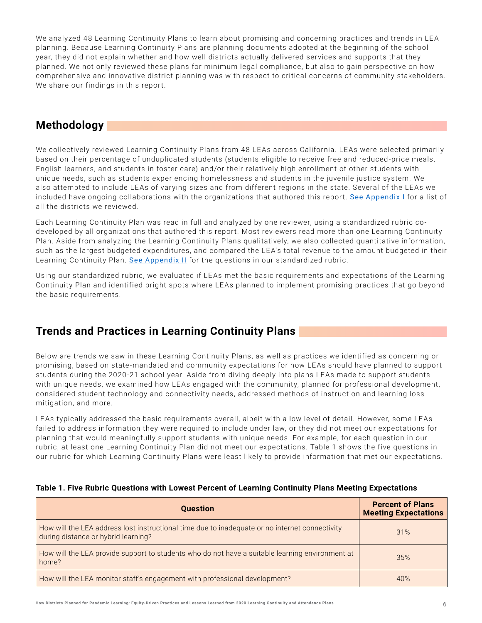<span id="page-5-0"></span>We analyzed 48 Learning Continuity Plans to learn about promising and concerning practices and trends in LE A planning. Because Learning Continuity Plans are planning documents adopted at the beginning of the school year, they did not explain whether and how well districts actually delivered services and supports that they planned. We not only reviewed these plans for minimum legal compliance, but also to gain perspective on how comprehensive and innovative district planning was with respect to critical concerns of community stakeholders. We share our findings in this report.

# **Methodology**

We collectively reviewed Learning Continuity Plans from 48 LEAs across California. LEAs were selected primarily based on their percentage of unduplicated students (students eligible to receive free and reduced-price meals, English learners, and students in foster care) and/or their relatively high enrollment of other students with unique needs, such as students experiencing homelessness and students in the juvenile justice system. We also attempted to include LEAs of varying sizes and from different regions in the state. Several of the LEAs we included have ongoing collaborations with the organizations that authored this report. [See Appendix I](#page-25-0) for a list of all the districts we reviewed.

Each Learning Continuity Plan was read in full and analyzed by one reviewer, using a standardized rubric codeveloped by all organizations that authored this report. Most reviewers read more than one Learning Continuity Plan. Aside from analyzing the Learning Continuity Plans qualitatively, we also collected quantitative information, such as the largest budgeted expenditures, and compared the LEA's total revenue to the amount budgeted in their Learning Continuity Plan. [See Appendix II](#page-26-0) for the questions in our standardized rubric.

Using our standardized rubric, we evaluated if LE As met the basic requirements and expectations of the Learning Continuity Plan and identified bright spots where LE As planned to implement promising practices that go beyond the basic requirements.

# **Trends and Practices in Learning Continuity Plans**

Below are trends we saw in these Learning Continuity Plans, as well as practices we identified as concerning or promising, based on state-mandated and community expectations for how LE As should have planned to support students during the 2020 -21 school year. Aside from diving deeply into plans LE As made to support students with unique needs, we examined how LEAs engaged with the community, planned for professional development, considered student technology and connectivity needs, addressed methods of instruction and learning loss mitigation, and more.

LEAs typically addressed the basic requirements overall, albeit with a low level of detail. However, some LEAs failed to address information they were required to include under law, or they did not meet our expectations for planning that would meaningfully support students with unique needs. For example, for each question in our rubric, at least one Learning Continuity Plan did not meet our expectations. Table 1 shows the five questions in our rubric for which Learning Continuity Plans were least likely to provide information that met our expectations.

| <b>Question</b>                                                                                                                       | <b>Percent of Plans</b><br><b>Meeting Expectations</b> |
|---------------------------------------------------------------------------------------------------------------------------------------|--------------------------------------------------------|
| How will the LEA address lost instructional time due to inadequate or no internet connectivity<br>during distance or hybrid learning? | 31%                                                    |
| How will the LEA provide support to students who do not have a suitable learning environment at<br>home?                              | 35%                                                    |
| How will the LEA monitor staff's engagement with professional development?                                                            | 40%                                                    |

### **Table 1. Five Rubric Questions with Lowest Percent of Learning Continuity Plans Meeting Expectations**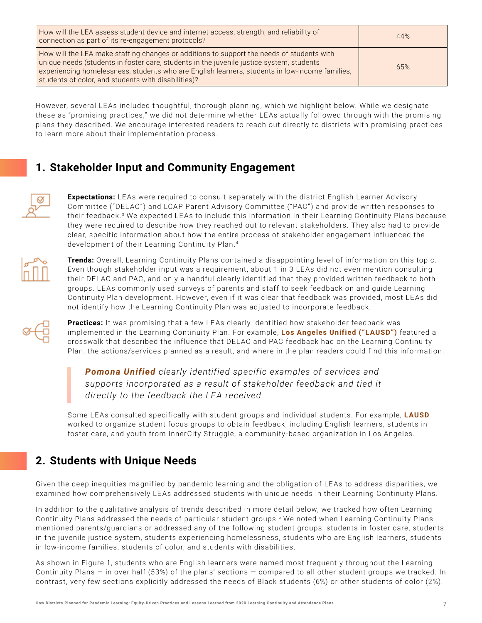<span id="page-6-0"></span>

| How will the LEA assess student device and internet access, strength, and reliability of<br>connection as part of its re-engagement protocols?                                                                                                                                                                                                 | 44% |
|------------------------------------------------------------------------------------------------------------------------------------------------------------------------------------------------------------------------------------------------------------------------------------------------------------------------------------------------|-----|
| How will the LEA make staffing changes or additions to support the needs of students with<br>unique needs (students in foster care, students in the juvenile justice system, students<br>experiencing homelessness, students who are English learners, students in low-income families,<br>students of color, and students with disabilities)? | 65% |

However, several LE As included thoughtful, thorough planning, which we highlight below. While we designate these as "promising practices," we did not determine whether LE As actually followed through with the promising plans they described. We encourage interested readers to reach out directly to districts with promising practices to learn more about their implementation process.

# **1. Stakeholder Input and Community Engagement**



**Expectations:** LEAs were required to consult separately with the district English Learner Advisory Committee ("DEL AC") and LCAP Parent Advisory Committee ("PAC") and provide written responses to their feedback.<sup>3</sup> We expected LEAs to include this information in their Learning Continuity Plans because they were required to describe how they reached out to relevant stakeholders. They also had to provide clear, specific information about how the entire process of stakeholder engagement influenced the development of their Learning Continuity Plan.4



**Trends:** Overall, Learning Continuity Plans contained a disappointing level of information on this topic. Even though stakeholder input was a requirement, about 1 in 3 LE As did not even mention consulting their DEL AC and PAC, and only a handful clearly identified that they provided written feedback to both groups. LE As commonly used surveys of parents and staff to seek feedback on and guide Learning Continuity Plan development. However, even if it was clear that feedback was provided, most LE As did not identify how the Learning Continuity Plan was adjusted to incorporate feedback.



Practices: It was promising that a few LEAs clearly identified how stakeholder feedback was implemented in the Learning Continuity Plan. For example, **Los Angeles Unified ("LAUSD")** featured a crosswalk that described the influence that DEL AC and PAC feedback had on the Learning Continuity Plan, the actions/services planned as a result, and where in the plan readers could find this information.

*Pomona Unified clearly identified specific examples of services and supports incorporated as a result of stakeholder feedback and tied it directly to the feedback the LEA received.*

Some LEAs consulted specifically with student groups and individual students. For example, **LAUSD** worked to organize student focus groups to obtain feedback, including English learners, students in foster care, and youth from InnerCity Struggle, a community-based organization in Los Angeles.

# **2. Students with Unique Needs**

Given the deep inequities magnified by pandemic learning and the obligation of LE As to address disparities, we examined how comprehensively LE As addressed students with unique needs in their Learning Continuity Plans.

In addition to the qualitative analysis of trends described in more detail below, we tracked how often Learning Continuity Plans addressed the needs of particular student groups.5 We noted when Learning Continuity Plans mentioned parents/guardians or addressed any of the following student groups: students in foster care, students in the juvenile justice system, students experiencing homelessness, students who are English learners, students in low-income families, students of color, and students with disabilities.

As shown in Figure 1, students who are English learners were named most frequently throughout the Learning Continuity Plans — in over half (53%) of the plans' sections — compared to all other student groups we tracked. In contrast, very few sections explicitly addressed the needs of Black students (6%) or other students of color (2%).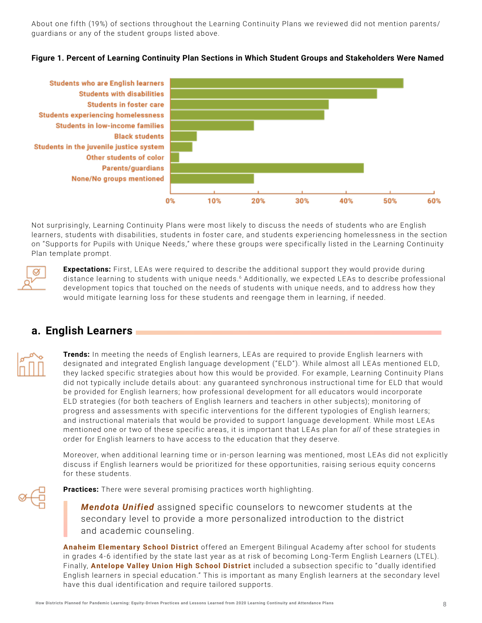<span id="page-7-0"></span>About one fifth (19%) of sections throughout the Learning Continuity Plans we reviewed did not mention parents/ guardians or any of the student groups listed above.





Not surprisingly, Learning Continuity Plans were most likely to discuss the needs of students who are English learners, students with disabilities, students in foster care, and students experiencing homelessness in the section on "Supports for Pupils with Unique Needs," where these groups were specifically listed in the Learning Continuity Plan template prompt.



**Expectations:** First, LEAs were required to describe the additional support they would provide during distance learning to students with unique needs.<sup>6</sup> Additionally, we expected LEAs to describe professional development topics that touched on the needs of students with unique needs, and to address how they would mitigate learning loss for these students and reengage them in learning, if needed.

# **a. English Learners**

**Trends:** In meeting the needs of English learners, LEAs are required to provide English learners with designated and integrated English language development ("ELD"). While almost all LEAs mentioned ELD, they lacked specific strategies about how this would be provided. For example, Learning Continuity Plans did not typically include details about: any guaranteed synchronous instructional time for ELD that would be provided for English learners; how professional development for all educators would incorporate ELD strategies (for both teachers of English learners and teachers in other subjects); monitoring of progress and assessments with specific interventions for the different typologies of English learners; and instructional materials that would be provided to support language development. While most LE As mentioned one or two of these specific areas, it is important that LEAs plan for *all* of these strategies in order for English learners to have access to the education that they deserve.

Moreover, when additional learning time or in-person learning was mentioned, most LE As did not explicitly discuss if English learners would be prioritized for these opportunities, raising serious equity concerns for these students.

**Practices:** There were several promising practices worth highlighting.

*Mendota Unified* assigned specific counselors to newcomer students at the secondary level to provide a more personalized introduction to the district and academic counseling.

**Anaheim Elementary School District** offered an Emergent Bilingual Academy after school for students in grades 4-6 identified by the state last year as at risk of becoming Long-Term English Learners (LTEL). Finally, **Antelope Valley Union High School District** included a subsection specific to " dually identified English learners in special education." This is important as many English learners at the secondary level have this dual identification and require tailored supports.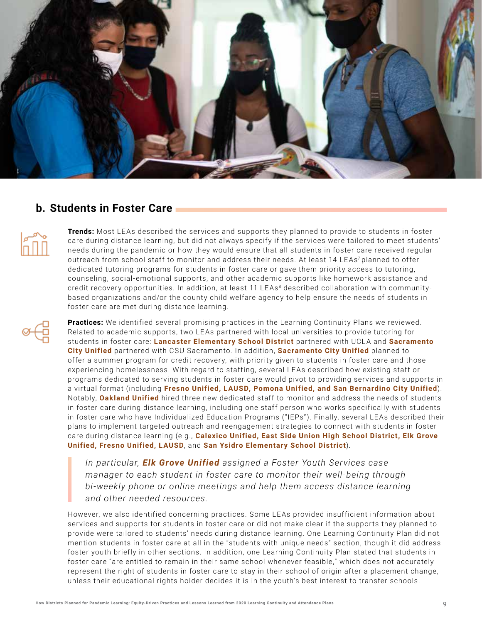<span id="page-8-0"></span>

### **b. Students in Foster Care**



**Trends:** Most LE As described the services and supports they planned to provide to students in foster care during distance learning, but did not always specify if the services were tailored to meet students' needs during the pandemic or how they would ensure that all students in foster care received regular outreach from school staff to monitor and address their needs. At least 14 LEAs<sup>7</sup> planned to offer dedicated tutoring programs for students in foster care or gave them priority access to tutoring, counseling, social-emotional supports, and other academic supports like homework assistance and credit recovery opportunities. In addition, at least 11 LEAs<sup>8</sup> described collaboration with communitybased organizations and/or the county child welfare agency to help ensure the needs of students in foster care are met during distance learning.

**Practices:** We identified several promising practices in the Learning Continuity Plans we reviewed. Related to academic supports, two LE As partnered with local universities to provide tutoring for students in foster care: **Lancaster Elementary School District** partnered with UCLA and **Sacramento City Unified** partnered with CSU Sacramento. In addition, **Sacramento City Unified** planned to offer a summer program for credit recovery, with priority given to students in foster care and those experiencing homelessness. With regard to staffing, several LE As described how existing staff or programs dedicated to serving students in foster care would pivot to providing services and supports in a virtual format (including **Fresno Unified, LAUSD, Pomona Unified, and San Bernardino City Unified**). Notably, **Oakland Unified** hired three new dedicated staff to monitor and address the needs of students in foster care during distance learning, including one staff person who works specifically with students in foster care who have Individualized Education Programs ("IEPs"). Finally, several LEAs described their plans to implement targeted outreach and reengagement strategies to connect with students in foster care during distance learning (e.g., **Calexico Unified, East Side Union High School District, Elk Grove Unified, Fresno Unified, LAUSD**, and **San Ysidro Elementary School District**).

*In particular, Elk Grove Unified assigned a Foster Youth Services case manager to each student in foster care to monitor their well-being through bi-weekly phone or online meetings and help them access distance learning and other needed resources.*

However, we also identified concerning practices. Some LE As provided insufficient information about services and supports for students in foster care or did not make clear if the supports they planned to provide were tailored to students' needs during distance learning. One Learning Continuity Plan did not mention students in foster care at all in the "students with unique needs" section, though it did address foster youth briefly in other sections. In addition, one Learning Continuity Plan stated that students in foster care "are entitled to remain in their same school whenever feasible," which does not accurately represent the right of students in foster care to stay in their school of origin after a placement change, unless their educational rights holder decides it is in the youth's best interest to transfer schools.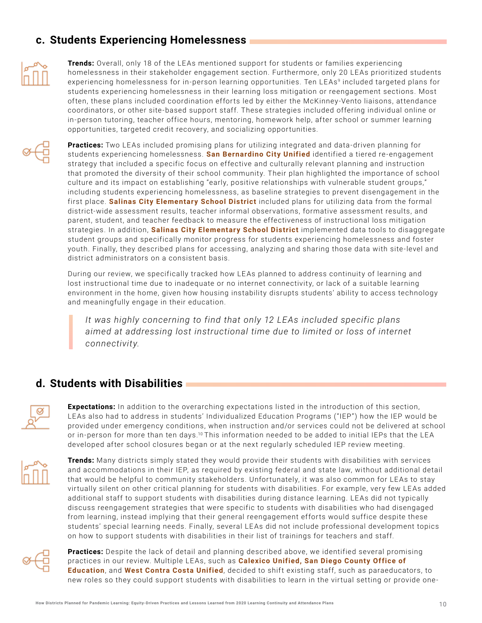# <span id="page-9-0"></span>**c. Students Experiencing Homelessness**



**Trends:** Overall, only 18 of the LEAs mentioned support for students or families experiencing homelessness in their stakeholder engagement section. Furthermore, only 20 LE As prioritized students experiencing homelessness for in-person learning opportunities. Ten LEAs<sup>9</sup> included targeted plans for students experiencing homelessness in their learning loss mitigation or reengagement sections. Most often, these plans included coordination efforts led by either the McKinney-Vento liaisons, attendance coordinators, or other site-based support staff. These strategies included offering individual online or in-person tutoring, teacher office hours, mentoring, homework help, after school or summer learning opportunities, targeted credit recovery, and socializing opportunities.



**Practices:** Two LEAs included promising plans for utilizing integrated and data-driven planning for students experiencing homelessness. **San Bernardino City Unified** identified a tiered re-engagement strategy that included a specific focus on effective and culturally relevant planning and instruction that promoted the diversity of their school community. Their plan highlighted the importance of school culture and its impact on establishing "early, positive relationships with vulnerable student groups," including students experiencing homelessness, as baseline strategies to prevent disengagement in the first place. **Salinas City Elementary School District** included plans for utilizing data from the formal district-wide assessment results, teacher informal observations, formative assessment results, and parent, student, and teacher feedback to measure the effectiveness of instructional loss mitigation strategies. In addition, **Salinas City Elementary School District** implemented data tools to disaggregate student groups and specifically monitor progress for students experiencing homelessness and foster youth. Finally, they described plans for accessing, analyzing and sharing those data with site-level and district administrators on a consistent basis.

During our review, we specifically tracked how LE As planned to address continuity of learning and lost instructional time due to inadequate or no internet connectivity, or lack of a suitable learning environment in the home, given how housing instability disrupts students' ability to access technology and meaningfully engage in their education.

*It was highly concerning to find that only 12 LEAs included specific plans aimed at addressing lost instructional time due to limited or loss of internet connectivity.*

### **d. Students with Disabilities**

**Expectations:** In addition to the overarching expectations listed in the introduction of this section, LE As also had to address in students' Individualized Education Programs ("IEP") how the IEP would be provided under emergency conditions, when instruction and/or services could not be delivered at school or in-person for more than ten days.<sup>10</sup> This information needed to be added to initial IEPs that the LEA developed after school closures began or at the next regularly scheduled IEP review meeting.



**Trends:** Many districts simply stated they would provide their students with disabilities with services and accommodations in their IEP, as required by existing federal and state law, without additional detail that would be helpful to community stakeholders. Unfortunately, it was also common for LE As to stay virtually silent on other critical planning for students with disabilities. For example, very few LE As added additional staff to support students with disabilities during distance learning. LE As did not typically discuss reengagement strategies that were specific to students with disabilities who had disengaged from learning, instead implying that their general reengagement efforts would suffice despite these students' special learning needs. Finally, several LE As did not include professional development topics on how to support students with disabilities in their list of trainings for teachers and staff.



**Practices:** Despite the lack of detail and planning described above, we identified several promising practices in our review. Multiple LEAs, such as **Calexico Unified, San Diego County Office of Education**, and **West Contra Costa Unified**, decided to shift existing staff, such as paraeducators, to new roles so they could support students with disabilities to learn in the virtual setting or provide one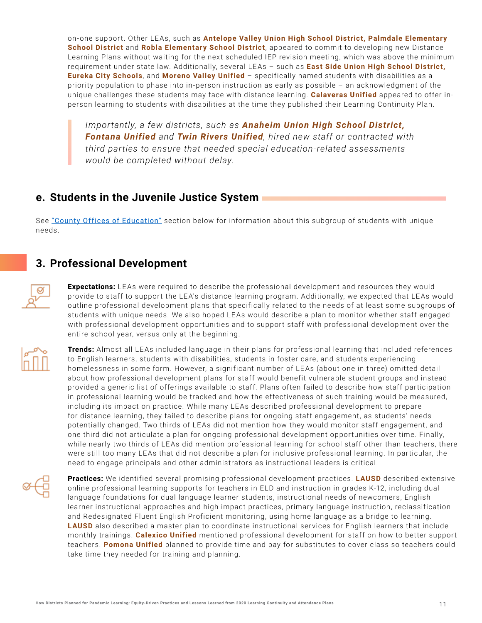<span id="page-10-0"></span>on-one support. Other LEAs, such as **Antelope Valley Union High School District, Palmdale Elementary School District** and **Robla Elementary School District**, appeared to commit to developing new Distance Learning Plans without waiting for the next scheduled IEP revision meeting, which was above the minimum requirement under state law. Additionally, several LEAs – such as **East Side Union High School District, Eureka City Schools**, and **Moreno Valley Unified** – specifically named students with disabilities as a priority population to phase into in-person instruction as early as possible – an acknowledgment of the unique challenges these students may face with distance learning. **Calaveras Unified** appeared to offer inperson learning to students with disabilities at the time they published their Learning Continuity Plan.

*Importantly, a few districts, such as Anaheim Union High School District, Fontana Unified and Twin Rivers Unified, hired new staff or contracted with third parties to ensure that needed special education-related assessments would be completed without delay.*

### **e. Students in the Juvenile Justice System**

See ["County Offices of Education"](#page-12-0) section below for information about this subgroup of students with unique needs.

# **3. Professional Development**

**Expectations:** LEAs were required to describe the professional development and resources they would provide to staff to support the LEA's distance learning program. Additionally, we expected that LEAs would outline professional development plans that specifically related to the needs of at least some subgroups of students with unique needs. We also hoped LE As would describe a plan to monitor whether staff engaged with professional development opportunities and to support staff with professional development over the entire school year, versus only at the beginning.



**Trends:** Almost all LE As included language in their plans for professional learning that included references to English learners, students with disabilities, students in foster care, and students experiencing homelessness in some form. However, a significant number of LE As (about one in three) omitted detail about how professional development plans for staff would benefit vulnerable student groups and instead provided a generic list of offerings available to staff. Plans often failed to describe how staff participation in professional learning would be tracked and how the effectiveness of such training would be measured, including its impact on practice. While many LE As described professional development to prepare for distance learning, they failed to describe plans for ongoing staff engagement, as students' needs potentially changed. Two thirds of LE As did not mention how they would monitor staff engagement, and one third did not articulate a plan for ongoing professional development opportunities over time. Finally, while nearly two thirds of LE As did mention professional learning for school staff other than teachers, there were still too many LEAs that did not describe a plan for inclusive professional learning. In particular, the need to engage principals and other administrators as instructional leaders is critical.

**Practices:** We identified several promising professional development practices. **LAUSD** described extensive online professional learning supports for teachers in ELD and instruction in grades K-12, including dual language foundations for dual language learner students, instructional needs of newcomers, English learner instructional approaches and high impact practices, primary language instruction, reclassification and Redesignated Fluent English Proficient monitoring, using home language as a bridge to learning. **LAUSD** also described a master plan to coordinate instructional services for English learners that include monthly trainings. **Calexico Unified** mentioned professional development for staff on how to better support teachers. **Pomona Unified** planned to provide time and pay for substitutes to cover class so teachers could take time they needed for training and planning.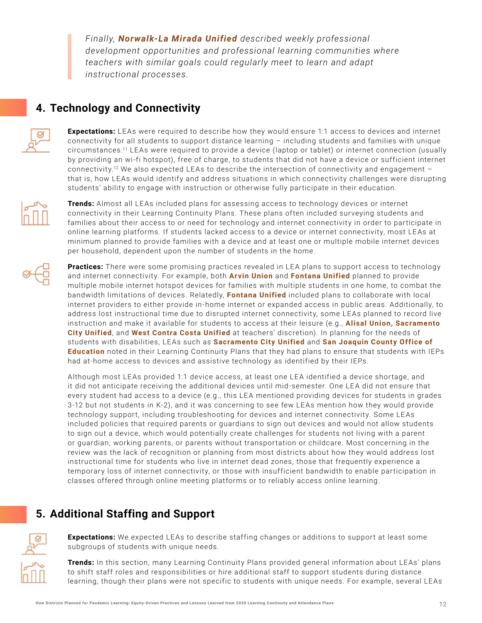<span id="page-11-0"></span>*Finally, Norwalk-La Mirada Unified described weekly professional development opportunities and professional learning communities where teachers with similar goals could regularly meet to learn and adapt instructional processes.*

# **4. Technology and Connectivity**



**Expectations:** LEAs were required to describe how they would ensure 1:1 access to devices and internet connectivity for all students to support distance learning – including students and families with unique circumstances.<sup>11</sup> LEAs were required to provide a device (laptop or tablet) or internet connection (usually by providing an wi-fi hotspot), free of charge, to students that did not have a device or sufficient internet connectivity.<sup>12</sup> We also expected LEAs to describe the intersection of connectivity and engagement that is, how LE As would identify and address situations in which connectivity challenges were disrupting students' ability to engage with instruction or otherwise fully participate in their education.



**Trends:** Almost all LE As included plans for assessing access to technology devices or internet connectivity in their Learning Continuity Plans. These plans often included surveying students and families about their access to or need for technology and internet connectivity in order to participate in online learning platforms. If students lacked access to a device or internet connectivity, most LE As at minimum planned to provide families with a device and at least one or multiple mobile internet devices per household, dependent upon the number of students in the home.

**Practices:** There were some promising practices revealed in LEA plans to support access to technology and internet connectivity. For example, both **Arvin Union** and **Fontana Unified** planned to provide multiple mobile internet hotspot devices for families with multiple students in one home, to combat the bandwidth limitations of devices. Relatedly, **Fontana Unified** included plans to collaborate with local internet providers to either provide in-home internet or expanded access in public areas. Additionally, to address lost instructional time due to disrupted internet connectivity, some LE As planned to record live instruction and make it available for students to access at their leisure (e.g., **Alisal Union, Sacramento City Unified**, and **West Contra Costa Unified** at teachers' discretion). In planning for the needs of students with disabilities, LEAs such as **Sacramento City Unified** and **San Joaquin County Office of Education** noted in their Learning Continuity Plans that they had plans to ensure that students with IEPs had at-home access to devices and assistive technology as identified by their IEPs.

Although most LE As provided 1:1 device access, at least one LE A identified a device shortage, and it did not anticipate receiving the additional devices until mid-semester. One LE A did not ensure that every student had access to a device (e.g., this LE A mentioned providing devices for students in grades 3-12 but not students in K-2), and it was concerning to see few LE As mention how they would provide technology support, including troubleshooting for devices and internet connectivity. Some LE As included policies that required parents or guardians to sign out devices and would not allow students to sign out a device, which would potentially create challenges for students not living with a parent or guardian, working parents, or parents without transportation or childcare. Most concerning in the review was the lack of recognition or planning from most districts about how they would address lost instructional time for students who live in internet dead zones, those that frequently experience a temporary loss of internet connectivity, or those with insufficient bandwidth to enable participation in classes offered through online meeting platforms or to reliably access online learning.

# **5. Additional Staffing and Support**

**Expectations:** We expected LEAs to describe staffing changes or additions to support at least some subgroups of students with unique needs.

**Trends:** In this section, many Learning Continuity Plans provided general information about LE As' plans to shift staff roles and responsibilities or hire additional staff to support students during distance learning, though their plans were not specific to students with unique needs. For example, several LEAs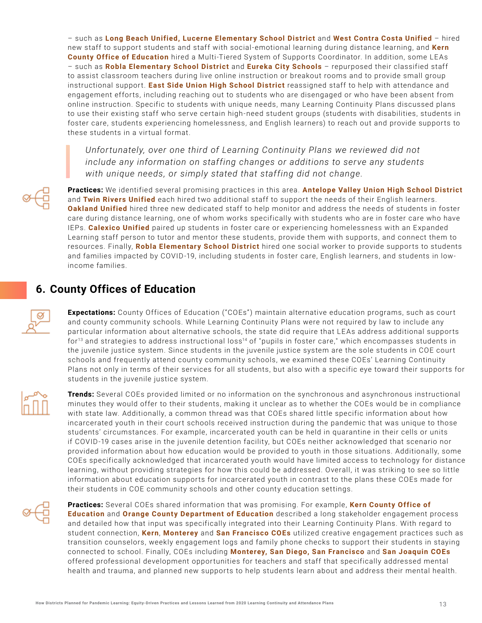<span id="page-12-0"></span>– such as **Long Beach Unified, Lucerne Elementary School District** and **West Contra Costa Unified** – hired new staff to support students and staff with social-emotional learning during distance learning, and **Kern County Office of Education** hired a Multi-Tiered System of Supports Coordinator. In addition, some LE As – such as **Robla Elementary School District** and **Eureka City Schools** – repurposed their classified staff to assist classroom teachers during live online instruction or breakout rooms and to provide small group instructional support. **East Side Union High School District** reassigned staff to help with attendance and engagement efforts, including reaching out to students who are disengaged or who have been absent from online instruction. Specific to students with unique needs, many Learning Continuity Plans discussed plans to use their existing staff who serve certain high-need student groups (students with disabilities, students in foster care, students experiencing homelessness, and English learners) to reach out and provide supports to these students in a virtual format.

*Unfortunately, over one third of Learning Continuity Plans we reviewed did not include any information on staffing changes or additions to serve any students with unique needs, or simply stated that staffing did not change.*

**Practices:** We identified several promising practices in this area. **Antelope Valley Union High School District** and **Twin Rivers Unified** each hired two additional staff to support the needs of their English learners. **Oakland Unified** hired three new dedicated staff to help monitor and address the needs of students in foster care during distance learning, one of whom works specifically with students who are in foster care who have IEPs. **Calexico Unified** paired up students in foster care or experiencing homelessness with an Expanded Learning staff person to tutor and mentor these students, provide them with supports, and connect them to resources. Finally, **Robla Elementary School District** hired one social worker to provide supports to students and families impacted by COVID-19, including students in foster care, English learners, and students in lowincome families.

# **6. County Offices of Education**

**Expectations:** County Offices of Education ("COEs") maintain alternative education programs, such as court and county community schools. While Learning Continuity Plans were not required by law to include any particular information about alternative schools, the state did require that LE As address additional supports for<sup>13</sup> and strategies to address instructional loss<sup>14</sup> of "pupils in foster care," which encompasses students in the juvenile justice system. Since students in the juvenile justice system are the sole students in COE court schools and frequently attend county community schools, we examined these COEs' Learning Continuity Plans not only in terms of their services for all students, but also with a specific eye toward their supports for students in the juvenile justice system.



**Trends:** Several COEs provided limited or no information on the synchronous and asynchronous instructional minutes they would offer to their students, making it unclear as to whether the COEs would be in compliance with state law. Additionally, a common thread was that COEs shared little specific information about how incarcerated youth in their court schools received instruction during the pandemic that was unique to those students' circumstances. For example, incarcerated youth can be held in quarantine in their cells or units if COVID-19 cases arise in the juvenile detention facility, but COEs neither acknowledged that scenario nor provided information about how education would be provided to youth in those situations. Additionally, some COEs specifically acknowledged that incarcerated youth would have limited access to technology for distance learning, without providing strategies for how this could be addressed. Overall, it was striking to see so little information about education supports for incarcerated youth in contrast to the plans these COEs made for their students in COE community schools and other county education settings.



**Practices:** Several COEs shared information that was promising. For example, **Kern County Office of Education** and **Orange County Department of Education** described a long stakeholder engagement process and detailed how that input was specifically integrated into their Learning Continuity Plans. With regard to student connection, **Kern**, **Monterey** and **San Francisco COEs** utilized creative engagement practices such as transition counselors, weekly engagement logs and family phone checks to support their students in staying connected to school. Finally, COEs including **Monterey, San Diego, San Francisco** and **San Joaquin COEs** offered professional development opportunities for teachers and staff that specifically addressed mental health and trauma, and planned new supports to help students learn about and address their mental health.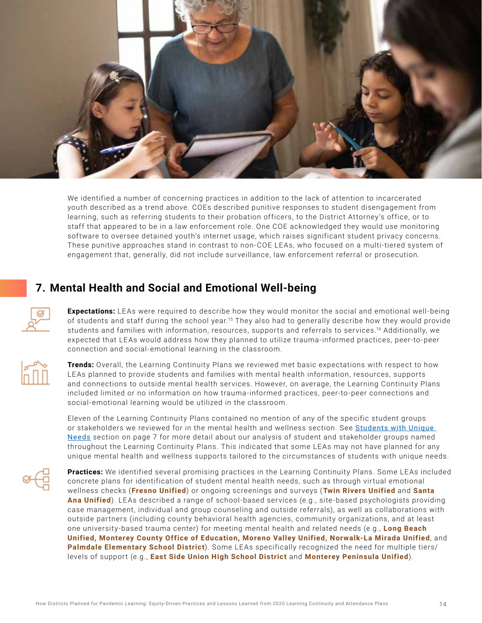<span id="page-13-0"></span>

We identified a number of concerning practices in addition to the lack of attention to incarcerated youth described as a trend above. COEs described punitive responses to student disengagement from learning, such as referring students to their probation officers, to the District Attorney's office, or to staff that appeared to be in a law enforcement role. One COE acknowledged they would use monitoring software to oversee detained youth's internet usage, which raises significant student privacy concerns. These punitive approaches stand in contrast to non-COE LEAs, who focused on a multi-tiered system of engagement that, generally, did not include surveillance, law enforcement referral or prosecution.

# **7. Mental Health and Social and Emotional Well-being**

**Expectations:** LEAs were required to describe how they would monitor the social and emotional well-being of students and staff during the school year.15 They also had to generally describe how they would provide students and families with information, resources, supports and referrals to services.<sup>16</sup> Additionally, we expected that LE As would address how they planned to utilize trauma-informed practices, peer-to-peer connection and social-emotional learning in the classroom.



**Trends:** Overall, the Learning Continuity Plans we reviewed met basic expectations with respect to how LEAs planned to provide students and families with mental health information, resources, supports and connections to outside mental health services. However, on average, the Learning Continuity Plans included limited or no information on how trauma-informed practices, peer-to-peer connections and social-emotional learning would be utilized in the classroom.

Eleven of the Learning Continuity Plans contained no mention of any of the specific student groups or stakeholders we reviewed for in the mental health and wellness section. See [Students with Unique](#page-6-0)  [Needs](#page-6-0) section on page 7 for more detail about our analysis of student and stakeholder groups named throughout the Learning Continuity Plans. This indicated that some LE As may not have planned for any unique mental health and wellness supports tailored to the circumstances of students with unique needs.



Practices: We identified several promising practices in the Learning Continuity Plans. Some LEAs included concrete plans for identification of student mental health needs, such as through virtual emotional wellness checks (**Fresno Unified**) or ongoing screenings and surveys (**Twin Rivers Unified** and **Santa Ana Unified**). LE As described a range of school-based services (e.g., site-based psychologists providing case management, individual and group counseling and outside referrals), as well as collaborations with outside partners (including county behavioral health agencies, community organizations, and at least one university-based trauma center) for meeting mental health and related needs (e.g., **Long Beach Unified, Monterey County Office of Education, Moreno Valley Unified, Norwalk-La Mirada Unified**, and **Palmdale Elementary School District**). Some LEAs specifically recognized the need for multiple tiers/ levels of support (e.g., **East Side Union High School District** and **Monterey Peninsula Unified**).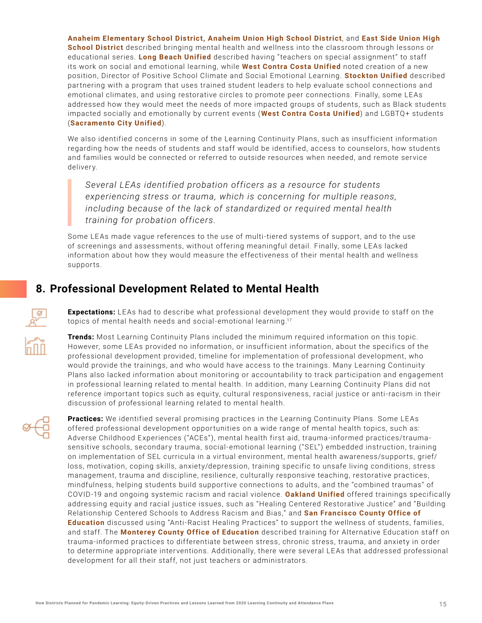<span id="page-14-0"></span>**Anaheim Elementary School District, Anaheim Union High School District**, and **East Side Union High School District** described bringing mental health and wellness into the classroom through lessons or educational series. **Long Beach Unified** described having "teachers on special assignment" to staff its work on social and emotional learning, while **West Contra Costa Unified** noted creation of a new position, Director of Positive School Climate and Social Emotional Learning. **Stockton Unified** described partnering with a program that uses trained student leaders to help evaluate school connections and emotional climates, and using restorative circles to promote peer connections. Finally, some LE As addressed how they would meet the needs of more impacted groups of students, such as Black students impacted socially and emotionally by current events (**West Contra Costa Unified**) and LGBTQ+ students (**Sacramento City Unified**).

We also identified concerns in some of the Learning Continuity Plans, such as insufficient information regarding how the needs of students and staff would be identified, access to counselors, how students and families would be connected or referred to outside resources when needed, and remote service delivery.

*Several LEAs identified probation officers as a resource for students experiencing stress or trauma, which is concerning for multiple reasons, including because of the lack of standardized or required mental health training for probation officers.* 

Some LEAs made vague references to the use of multi-tiered systems of support, and to the use of screenings and assessments, without offering meaningful detail. Finally, some LE As lacked information about how they would measure the effectiveness of their mental health and wellness supports.

# **8. Professional Development Related to Mental Health**

**Expectations:** LE As had to describe what professional development they would provide to staff on the topics of mental health needs and social-emotional learning.17

**Trends:** Most Learning Continuity Plans included the minimum required information on this topic. However, some LE As provided no information, or insufficient information, about the specifics of the professional development provided, timeline for implementation of professional development, who would provide the trainings, and who would have access to the trainings. Many Learning Continuity Plans also lacked information about monitoring or accountability to track participation and engagement in professional learning related to mental health. In addition, many Learning Continuity Plans did not reference important topics such as equity, cultural responsiveness, racial justice or anti-racism in their discussion of professional learning related to mental health.



**Practices:** We identified several promising practices in the Learning Continuity Plans. Some LE As offered professional development opportunities on a wide range of mental health topics, such as: Adverse Childhood Experiences ("ACEs"), mental health first aid, trauma-informed practices/traumasensitive schools, secondary trauma, social-emotional learning ("SEL") embedded instruction, training on implementation of SEL curricula in a virtual environment, mental health awareness/supports, grief/ loss, motivation, coping skills, anxiety/depression, training specific to unsafe living conditions, stress management, trauma and discipline, resilience, culturally responsive teaching, restorative practices, mindfulness, helping students build supportive connections to adults, and the "combined traumas" of COVID-19 and ongoing systemic racism and racial violence. **Oakland Unified** offered trainings specifically addressing equity and racial justice issues, such as "Healing Centered Restorative Justice" and "Building Relationship Centered Schools to Address Racism and Bias," and **San Francisco County Office of Education** discussed using "Anti-Racist Healing Practices" to support the wellness of students, families, and staff. The **Monterey County Office of Education** described training for Alternative Education staff on trauma-informed practices to differentiate between stress, chronic stress, trauma, and anxiety in order to determine appropriate interventions. Additionally, there were several LE As that addressed professional development for all their staff, not just teachers or administrators.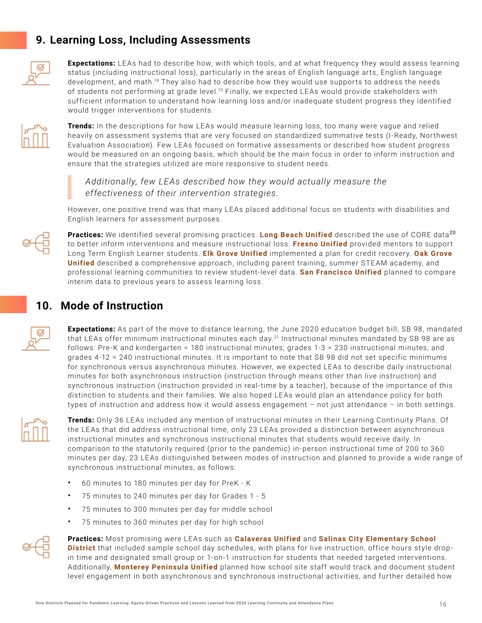# <span id="page-15-0"></span>**9. Learning Loss, Including Assessments**



**Expectations:** LE As had to describe how, with which tools, and at what frequency they would assess learning status (including instructional loss), particularly in the areas of English language arts, English language development, and math.18 They also had to describe how they would use supports to address the needs of students not performing at grade level.<sup>19</sup> Finally, we expected LEAs would provide stakeholders with sufficient information to understand how learning loss and/or inadequate student progress they identified would trigger interventions for students.



**Trends:** In the descriptions for how LEAs would measure learning loss, too many were vague and relied heavily on assessment systems that are very focused on standardized summative tests (I-Ready, Northwest Evaluation Association). Few LE As focused on formative assessments or described how student progress would be measured on an ongoing basis, which should be the main focus in order to inform instruction and ensure that the strategies utilized are more responsive to student needs.

*Additionally, few LEAs described how they would actually measure the effectiveness of their intervention strategies.* 

However, one positive trend was that many LE As placed additional focus on students with disabilities and English learners for assessment purposes.



**Practices:** We identified several promising practices. Long Beach Unified described the use of CORE data<sup>20</sup> to better inform interventions and measure instructional loss. **Fresno Unified** provided mentors to support Long Term English Learner students. **Elk Grove Unified** implemented a plan for credit recovery. **Oak Grove Unified** described a comprehensive approach, including parent training, summer STEAM academy, and professional learning communities to review student-level data. **San Francisco Unified** planned to compare interim data to previous years to assess learning loss.

# **10. Mode of Instruction**

**Expectations:** As part of the move to distance learning, the June 2020 education budget bill, SB 98, mandated that LEAs offer minimum instructional minutes each day.<sup>21</sup> Instructional minutes mandated by SB 98 are as follows: Pre-K and kindergarten = 180 instructional minutes; grades 1-3 = 230 instructional minutes; and grades 4-12 = 240 instructional minutes. It is important to note that SB 98 did not set specific minimums for synchronous versus asynchronous minutes. However, we expected LE As to describe daily instructional minutes for both asynchronous instruction (instruction through means other than live instruction) and synchronous instruction (instruction provided in real-time by a teacher), because of the importance of this distinction to students and their families. We also hoped LE As would plan an attendance policy for both types of instruction and address how it would assess engagement – not just attendance – in both settings.



**Trends:** Only 36 LE As included any mention of instructional minutes in their Learning Continuity Plans. Of the LE As that did address instructional time, only 23 LE As provided a distinction between asynchronous instructional minutes and synchronous instructional minutes that students would receive daily. In comparison to the statutorily required (prior to the pandemic) in-person instructional time of 200 to 360 minutes per day, 23 LE As distinguished between modes of instruction and planned to provide a wide range of synchronous instructional minutes, as follows:

- 60 minutes to 180 minutes per day for PreK K
- 75 minutes to 240 minutes per day for Grades 1 5
- 75 minutes to 300 minutes per day for middle school
- 75 minutes to 360 minutes per day for high school



**Practices:** Most promising were LEAs such as **Calaveras Unified** and **Salinas City Elementary School District** that included sample school day schedules, with plans for live instruction, office hours style dropin time and designated small group or 1-on-1 instruction for students that needed targeted interventions. Additionally, **Monterey Peninsula Unified** planned how school site staff would track and document student level engagement in both asynchronous and synchronous instructional activities, and further detailed how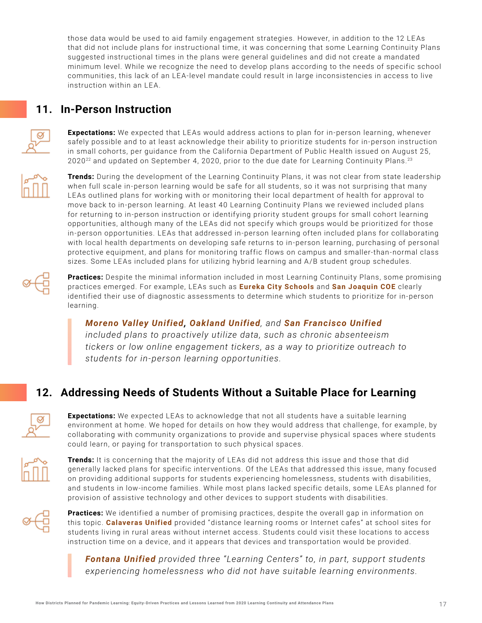<span id="page-16-0"></span>those data would be used to aid family engagement strategies. However, in addition to the 12 LEAs that did not include plans for instructional time, it was concerning that some Learning Continuity Plans suggested instructional times in the plans were general guidelines and did not create a mandated minimum level. While we recognize the need to develop plans according to the needs of specific school communities, this lack of an LE A-level mandate could result in large inconsistencies in access to live instruction within an LEA.

# **11. In-Person Instruction**

**Expectations:** We expected that LEAs would address actions to plan for in-person learning, whenever safely possible and to at least acknowledge their ability to prioritize students for in-person instruction in small cohorts, per guidance from the California Department of Public Health issued on August 25, 2020<sup>22</sup> and updated on September 4, 2020, prior to the due date for Learning Continuity Plans.<sup>23</sup>



**Trends:** During the development of the Learning Continuity Plans, it was not clear from state leadership when full scale in-person learning would be safe for all students, so it was not surprising that many LEAs outlined plans for working with or monitoring their local department of health for approval to move back to in-person learning. At least 40 Learning Continuity Plans we reviewed included plans for returning to in-person instruction or identifying priority student groups for small cohort learning opportunities, although many of the LE As did not specify which groups would be prioritized for those in-person opportunities. LE As that addressed in-person learning often included plans for collaborating with local health departments on developing safe returns to in-person learning, purchasing of personal protective equipment, and plans for monitoring traffic flows on campus and smaller-than-normal class sizes. Some LEAs included plans for utilizing hybrid learning and A/B student group schedules.



**Practices:** Despite the minimal information included in most Learning Continuity Plans, some promising practices emerged. For example, LEAs such as **Eureka City Schools** and **San Joaquin COE** clearly identified their use of diagnostic assessments to determine which students to prioritize for in-person learning.

*Moreno Valley Unified, Oakland Unified, and San Francisco Unified included plans to proactively utilize data, such as chronic absenteeism tickers or low online engagement tickers, as a way to prioritize outreach to students for in-person learning opportunities.*

# **12. Addressing Needs of Students Without a Suitable Place for Learning**

**Expectations:** We expected LE As to acknowledge that not all students have a suitable learning environment at home. We hoped for details on how they would address that challenge, for example, by collaborating with community organizations to provide and supervise physical spaces where students could learn, or paying for transportation to such physical spaces.



**Trends:** It is concerning that the majority of LEAs did not address this issue and those that did generally lacked plans for specific interventions. Of the LE As that addressed this issue, many focused on providing additional supports for students experiencing homelessness, students with disabilities, and students in low-income families. While most plans lacked specific details, some LE As planned for provision of assistive technology and other devices to support students with disabilities.



**Practices:** We identified a number of promising practices, despite the overall gap in information on this topic. **Calaveras Unified** provided " distance learning rooms or Internet cafes" at school sites for students living in rural areas without internet access. Students could visit these locations to access instruction time on a device, and it appears that devices and transportation would be provided.

*Fontana Unified provided three "Learning Centers" to, in part, support students experiencing homelessness who did not have suitable learning environments.*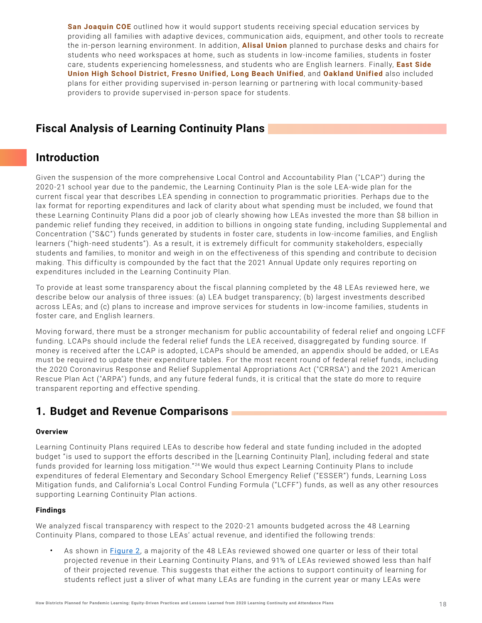<span id="page-17-0"></span>**San Joaquin COE** outlined how it would support students receiving special education services by providing all families with adaptive devices, communication aids, equipment, and other tools to recreate the in-person learning environment. In addition, **Alisal Union** planned to purchase desks and chairs for students who need workspaces at home, such as students in low-income families, students in foster care, students experiencing homelessness, and students who are English learners. Finally, **East Side Union High School District, Fresno Unified, Long Beach Unified**, and **Oakland Unified** also included plans for either providing supervised in-person learning or partnering with local community-based providers to provide supervised in-person space for students.

# **Fiscal Analysis of Learning Continuity Plans**

# **Introduction**

Given the suspension of the more comprehensive Local Control and Accountability Plan ("LCAP") during the 2020 -21 school year due to the pandemic, the Learning Continuity Plan is the sole LE A-wide plan for the current fiscal year that describes LEA spending in connection to programmatic priorities. Perhaps due to the lax format for reporting expenditures and lack of clarity about what spending must be included, we found that these Learning Continuity Plans did a poor job of clearly showing how LEAs invested the more than \$8 billion in pandemic relief funding they received, in addition to billions in ongoing state funding, including Supplemental and Concentration ("S&C") funds generated by students in foster care, students in low-income families, and English learners ("high-need students"). As a result, it is extremely difficult for community stakeholders, especially students and families, to monitor and weigh in on the effectiveness of this spending and contribute to decision making. This difficulty is compounded by the fact that the 2021 Annual Update only requires reporting on expenditures included in the Learning Continuity Plan.

To provide at least some transparency about the fiscal planning completed by the 48 LE As reviewed here, we describe below our analysis of three issues: (a) LE A budget transparency; (b) largest investments described across LE As; and (c) plans to increase and improve services for students in low-income families, students in foster care, and English learners.

Moving forward, there must be a stronger mechanism for public accountability of federal relief and ongoing LCFF funding. LCAPs should include the federal relief funds the LEA received, disaggregated by funding source. If money is received after the LCAP is adopted, LCAPs should be amended, an appendix should be added, or LE As must be required to update their expenditure tables. For the most recent round of federal relief funds, including the 2020 Coronavirus Response and Relief Supplemental Appropriations Act ("CRRSA") and the 2021 American Rescue Plan Act ("ARPA") funds, and any future federal funds, it is critical that the state do more to require transparent reporting and effective spending.

### **1. Budget and Revenue Comparisons**

### **Overview**

Learning Continuity Plans required LEAs to describe how federal and state funding included in the adopted budget "is used to support the efforts described in the [Learning Continuity Plan], including federal and state funds provided for learning loss mitigation."<sup>24</sup> We would thus expect Learning Continuity Plans to include expenditures of federal Elementary and Secondary School Emergency Relief ("ESSER") funds, Learning Loss Mitigation funds, and California's Local Control Funding Formula ("LCFF") funds, as well as any other resources supporting Learning Continuity Plan actions.

### **Findings**

We analyzed fiscal transparency with respect to the 2020-21 amounts budgeted across the 48 Learning Continuity Plans, compared to those LEAs' actual revenue, and identified the following trends:

As shown in [Figure 2](#page-18-0), a majority of the 48 LEAs reviewed showed one quarter or less of their total projected revenue in their Learning Continuity Plans, and 91% of LE As reviewed showed less than half of their projected revenue. This suggests that either the actions to support continuity of learning for students reflect just a sliver of what many LE As are funding in the current year or many LE As were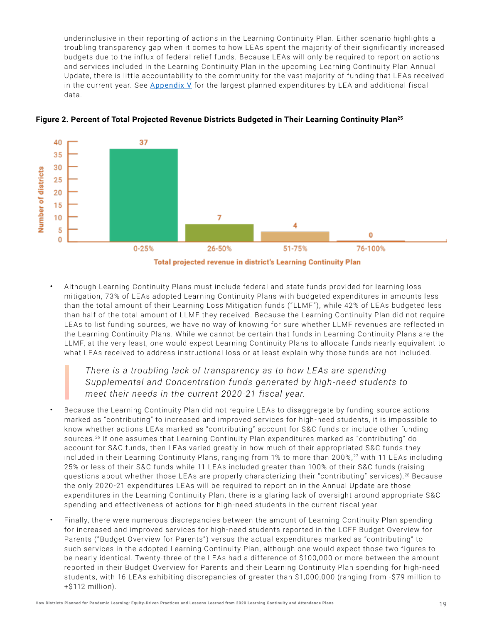<span id="page-18-0"></span>underinclusive in their reporting of actions in the Learning Continuity Plan. Either scenario highlights a troubling transparency gap when it comes to how LE As spent the majority of their significantly increased budgets due to the influx of federal relief funds. Because LE As will only be required to report on actions and services included in the Learning Continuity Plan in the upcoming Learning Continuity Plan Annual Update, there is little accountability to the community for the vast majority of funding that LE As received in the current year. See [Appendix V](#page-30-0) for the largest planned expenditures by LEA and additional fiscal data.



### **Figure 2. Percent of Total Projected Revenue Districts Budgeted in Their Learning Continuity Plan25**

Total projected revenue in district's Learning Continuity Plan

• Although Learning Continuity Plans must include federal and state funds provided for learning loss mitigation, 73% of LE As adopted Learning Continuity Plans with budgeted expenditures in amounts less than the total amount of their Learning Loss Mitigation funds ("LLMF"), while 42% of LE As budgeted less than half of the total amount of LLMF they received. Because the Learning Continuity Plan did not require LEAs to list funding sources, we have no way of knowing for sure whether LLMF revenues are reflected in the Learning Continuity Plans. While we cannot be certain that funds in Learning Continuity Plans are the LLMF, at the very least, one would expect Learning Continuity Plans to allocate funds nearly equivalent to what LE As received to address instructional loss or at least explain why those funds are not included.

### *There is a troubling lack of transparency as to how LEAs are spending Supplemental and Concentration funds generated by high-need students to meet their needs in the current 2020-21 fiscal year.*

- Because the Learning Continuity Plan did not require LE As to disaggregate by funding source actions marked as "contributing" to increased and improved services for high-need students, it is impossible to know whether actions LE As marked as "contributing" account for S&C funds or include other funding sources.26 If one assumes that Learning Continuity Plan expenditures marked as "contributing" do account for S&C funds, then LEAs varied greatly in how much of their appropriated S&C funds they included in their Learning Continuity Plans, ranging from 1% to more than 200%,<sup>27</sup> with 11 LEAs including 25% or less of their S&C funds while 11 LE As included greater than 100% of their S&C funds (raising questions about whether those LEAs are properly characterizing their "contributing" services).<sup>28</sup> Because the only 2020 -21 expenditures LE As will be required to report on in the Annual Update are those expenditures in the Learning Continuity Plan, there is a glaring lack of oversight around appropriate S&C spending and effectiveness of actions for high-need students in the current fiscal year.
- Finally, there were numerous discrepancies between the amount of Learning Continuity Plan spending for increased and improved services for high-need students reported in the LCFF Budget Overview for Parents ("Budget Overview for Parents") versus the actual expenditures marked as "contributing" to such services in the adopted Learning Continuity Plan, although one would expect those two figures to be nearly identical. Twenty-three of the LE As had a difference of \$100,000 or more between the amount reported in their Budget Overview for Parents and their Learning Continuity Plan spending for high-need students, with 16 LE As exhibiting discrepancies of greater than \$1,000,000 (ranging from -\$79 million to +\$112 million).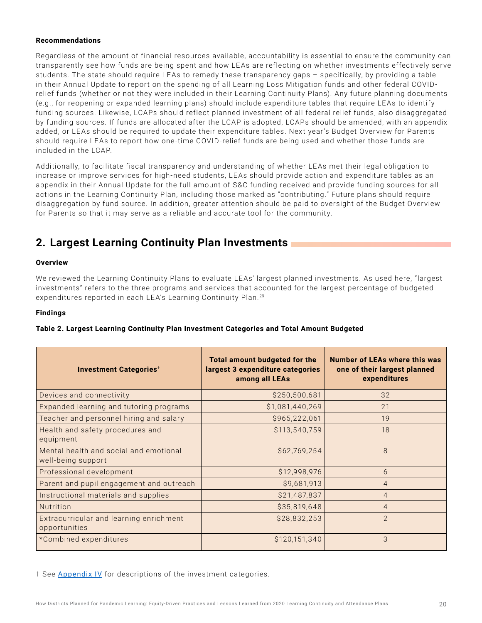### <span id="page-19-0"></span>**Recommendations**

Regardless of the amount of financial resources available, accountability is essential to ensure the community can transparently see how funds are being spent and how LE As are reflecting on whether investments effectively serve students. The state should require LEAs to remedy these transparency gaps - specifically, by providing a table in their Annual Update to report on the spending of all Learning Loss Mitigation funds and other federal COVIDrelief funds (whether or not they were included in their Learning Continuity Plans). Any future planning documents (e.g., for reopening or expanded learning plans) should include expenditure tables that require LEAs to identify funding sources. Likewise, LCAPs should reflect planned investment of all federal relief funds, also disaggregated by funding sources. If funds are allocated after the LCAP is adopted, LCAPs should be amended, with an appendix added, or LE As should be required to update their expenditure tables. Next year's Budget Overview for Parents should require LE As to report how one-time COVID -relief funds are being used and whether those funds are included in the LCAP.

Additionally, to facilitate fiscal transparency and understanding of whether LE As met their legal obligation to increase or improve services for high-need students, LE As should provide action and expenditure tables as an appendix in their Annual Update for the full amount of S&C funding received and provide funding sources for all actions in the Learning Continuity Plan, including those marked as "contributing." Future plans should require disaggregation by fund source. In addition, greater attention should be paid to oversight of the Budget Overview for Parents so that it may serve as a reliable and accurate tool for the community.

# **2. Largest Learning Continuity Plan Investments**

### **Overview**

We reviewed the Learning Continuity Plans to evaluate LEAs' largest planned investments. As used here, "largest investments" refers to the three programs and services that accounted for the largest percentage of budgeted expenditures reported in each LEA's Learning Continuity Plan.<sup>29</sup>

### **Findings**

| <b>Investment Categories<sup>+</sup></b>                     | <b>Total amount budgeted for the</b><br>largest 3 expenditure categories<br>among all LEAs | <b>Number of LEAs where this was</b><br>one of their largest planned<br>expenditures |
|--------------------------------------------------------------|--------------------------------------------------------------------------------------------|--------------------------------------------------------------------------------------|
| Devices and connectivity                                     | \$250,500,681                                                                              | 32                                                                                   |
| Expanded learning and tutoring programs                      | \$1,081,440,269                                                                            | 21                                                                                   |
| Teacher and personnel hiring and salary                      | \$965,222,061                                                                              | 19                                                                                   |
| Health and safety procedures and<br>equipment                | \$113,540,759                                                                              | 18                                                                                   |
| Mental health and social and emotional<br>well-being support | \$62,769,254                                                                               | 8                                                                                    |
| Professional development                                     | \$12,998,976                                                                               | 6                                                                                    |
| Parent and pupil engagement and outreach                     | \$9,681,913                                                                                | $\overline{4}$                                                                       |
| Instructional materials and supplies                         | \$21,487,837                                                                               | $\overline{4}$                                                                       |
| Nutrition                                                    | \$35,819,648                                                                               | $\overline{4}$                                                                       |
| Extracurricular and learning enrichment<br>opportunities     | \$28,832,253                                                                               | $\mathcal{P}$                                                                        |
| *Combined expenditures                                       | \$120,151,340                                                                              | 3                                                                                    |

### **Table 2. Largest Learning Continuity Plan Investment Categories and Total Amount Budgeted**

† See **[Appendix IV](#page-29-0)** for descriptions of the investment categories.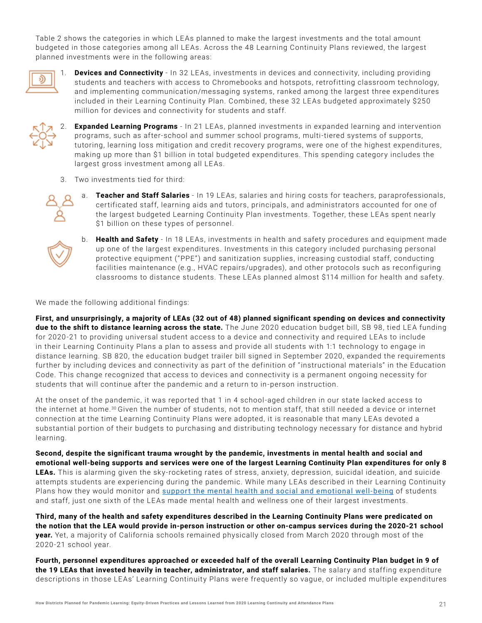Table 2 shows the categories in which LE As planned to make the largest investments and the total amount budgeted in those categories among all LEAs. Across the 48 Learning Continuity Plans reviewed, the largest planned investments were in the following areas:



**Devices and Connectivity** - In 32 LEAs, investments in devices and connectivity, including providing students and teachers with access to Chromebooks and hotspots, retrofitting classroom technology, and implementing communication/messaging systems, ranked among the largest three expenditures included in their Learning Continuity Plan. Combined, these 32 LE As budgeted approximately \$250 million for devices and connectivity for students and staff.



**Expanded Learning Programs** - In 21 LEAs, planned investments in expanded learning and intervention programs, such as after-school and summer school programs, multi-tiered systems of supports, tutoring, learning loss mitigation and credit recovery programs, were one of the highest expenditures, making up more than \$1 billion in total budgeted expenditures. This spending category includes the largest gross investment among all LEAs.

3. Two investments tied for third:



a. **Teacher and Staff Salaries** - In 19 LE As, salaries and hiring costs for teachers, paraprofessionals, certificated staff, learning aids and tutors, principals, and administrators accounted for one of the largest budgeted Learning Continuity Plan investments. Together, these LEAs spent nearly \$1 billion on these types of personnel.



b. **Health and Safety** - In 18 LE As, investments in health and safety procedures and equipment made up one of the largest expenditures. Investments in this category included purchasing personal protective equipment ("PPE") and sanitization supplies, increasing custodial staff, conducting facilities maintenance (e.g., HVAC repairs/upgrades), and other protocols such as reconfiguring classrooms to distance students. These LEAs planned almost \$114 million for health and safety.

We made the following additional findings:

**First, and unsurprisingly, a majority of LEAs (32 out of 48) planned significant spending on devices and connectivity**  due to the shift to distance learning across the state. The June 2020 education budget bill, SB 98, tied LEA funding for 2020 -21 to providing universal student access to a device and connectivity and required LE As to include in their Learning Continuity Plans a plan to assess and provide all students with 1:1 technology to engage in distance learning. SB 820, the education budget trailer bill signed in September 2020, expanded the requirements further by including devices and connectivity as part of the definition of "instructional materials" in the Education Code. This change recognized that access to devices and connectivity is a permanent ongoing necessity for students that will continue after the pandemic and a return to in-person instruction.

At the onset of the pandemic, it was reported that 1 in 4 school-aged children in our state lacked access to the internet at home. <sup>30</sup> Given the number of students, not to mention staff, that still needed a device or internet connection at the time Learning Continuity Plans were adopted, it is reasonable that many LE As devoted a substantial portion of their budgets to purchasing and distributing technology necessary for distance and hybrid learning.

**Second, despite the significant trauma wrought by the pandemic, investments in mental health and social and emotional well-being supports and services were one of the largest Learning Continuity Plan expenditures for only 8 LEAs.** This is alarming given the sky-rocketing rates of stress, anxiety, depression, suicidal ideation, and suicide attempts students are experiencing during the pandemic. While many LE As described in their Learning Continuity Plans how they would monitor and [support the mental health and social and emotional well-being](#page-13-0) of students and staff, just one sixth of the LEAs made mental health and wellness one of their largest investments.

**Third, many of the health and safety expenditures described in the Learning Continuity Plans were predicated on the notion that the LEA would provide in-person instruction or other on-campus services during the 2020-21 school year.** Yet, a majority of California schools remained physically closed from March 2020 through most of the 2020 -21 school year.

**Fourth, personnel expenditures approached or exceeded half of the overall Learning Continuity Plan budget in 9 of the 19 LEAs that invested heavily in teacher, administrator, and staff salaries.** The salary and staffing expenditure descriptions in those LEAs' Learning Continuity Plans were frequently so vague, or included multiple expenditures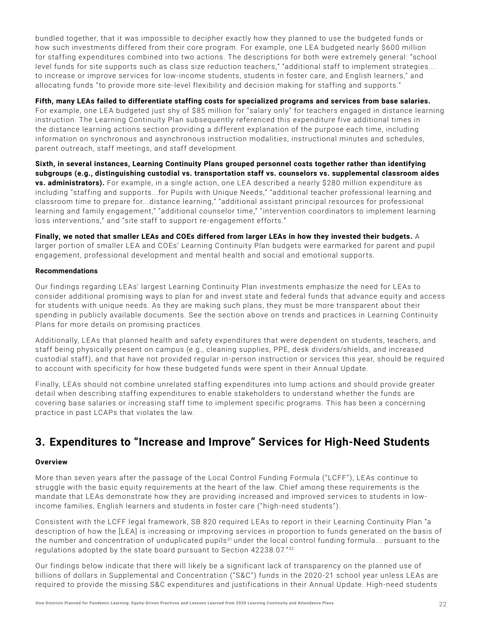<span id="page-21-0"></span>bundled together, that it was impossible to decipher exactly how they planned to use the budgeted funds or how such investments differed from their core program. For example, one LE A budgeted nearly \$600 million for staffing expenditures combined into two actions. The descriptions for both were extremely general: "school level funds for site supports such as class size reduction teachers," "additional staff to implement strategies... to increase or improve services for low-income students, students in foster care, and English learners," and allocating funds "to provide more site-level flexibility and decision making for staffing and supports."

### **Fifth, many LEAs failed to differentiate staffing costs for specialized programs and services from base salaries.**

For example, one LEA budgeted just shy of \$85 million for "salary only" for teachers engaged in distance learning instruction. The Learning Continuity Plan subsequently referenced this expenditure five additional times in the distance learning actions section providing a different explanation of the purpose each time, including information on synchronous and asynchronous instruction modalities, instructional minutes and schedules, parent outreach, staff meetings, and staff development.

**Sixth, in several instances, Learning Continuity Plans grouped personnel costs together rather than identifying subgroups (e.g., distinguishing custodial vs. transportation staff vs. counselors vs. supplemental classroom aides vs. administrators).** For example, in a single action, one LE A described a nearly \$280 million expenditure as including "staffing and supports...for Pupils with Unique Needs," "additional teacher professional learning and classroom time to prepare for...distance learning," "additional assistant principal resources for professional learning and family engagement," "additional counselor time," "intervention coordinators to implement learning loss interventions," and "site staff to support re-engagement efforts."

**Finally, we noted that smaller LEAs and COEs differed from larger LEAs in how they invested their budgets.** A larger portion of smaller LEA and COEs' Learning Continuity Plan budgets were earmarked for parent and pupil engagement, professional development and mental health and social and emotional supports.

### **Recommendations**

Our findings regarding LE As' largest Learning Continuity Plan investments emphasize the need for LE As to consider additional promising ways to plan for and invest state and federal funds that advance equity and access for students with unique needs. As they are making such plans, they must be more transparent about their spending in publicly available documents. See the section above on trends and practices in Learning Continuity Plans for more details on promising practices.

Additionally, LE As that planned health and safety expenditures that were dependent on students, teachers, and staff being physically present on campus (e.g., cleaning supplies, PPE, desk dividers/shields, and increased custodial staff), and that have not provided regular in-person instruction or services this year, should be required to account with specificity for how these budgeted funds were spent in their Annual Update.

Finally, LE As should not combine unrelated staffing expenditures into lump actions and should provide greater detail when describing staffing expenditures to enable stakeholders to understand whether the funds are covering base salaries or increasing staff time to implement specific programs. This has been a concerning practice in past LCAPs that violates the law.

### **3. Expenditures to "Increase and Improve" Services for High-Need Students**

### **Overview**

More than seven years after the passage of the Local Control Funding Formula ("LCFF"), LE As continue to struggle with the basic equity requirements at the heart of the law. Chief among these requirements is the mandate that LEAs demonstrate how they are providing increased and improved services to students in lowincome families, English learners and students in foster care ("high-need students").

Consistent with the LCFF legal framework, SB 820 required LE As to report in their Learning Continuity Plan "a description of how the [LEA] is increasing or improving services in proportion to funds generated on the basis of the number and concentration of unduplicated pupils<sup>31</sup> under the local control funding formula... pursuant to the regulations adopted by the state board pursuant to Section  $42238.07.^{32}$ 

Our findings below indicate that there will likely be a significant lack of transparency on the planned use of billions of dollars in Supplemental and Concentration ("S&C") funds in the 2020-21 school year unless LEAs are required to provide the missing S&C expenditures and justifications in their Annual Update. High-need students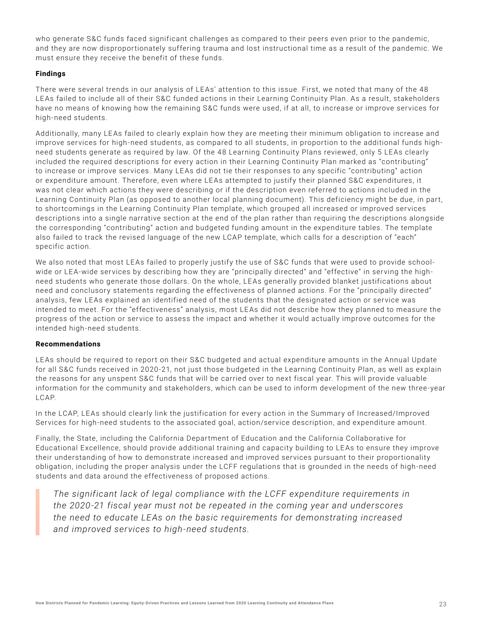who generate S&C funds faced significant challenges as compared to their peers even prior to the pandemic, and they are now disproportionately suffering trauma and lost instructional time as a result of the pandemic. We must ensure they receive the benefit of these funds.

### **Findings**

There were several trends in our analysis of LE As' attention to this issue. First, we noted that many of the 48 LEAs failed to include all of their S&C funded actions in their Learning Continuity Plan. As a result, stakeholders have no means of knowing how the remaining S&C funds were used, if at all, to increase or improve services for high-need students.

Additionally, many LE As failed to clearly explain how they are meeting their minimum obligation to increase and improve services for high-need students, as compared to all students, in proportion to the additional funds highneed students generate as required by law. Of the 48 Learning Continuity Plans reviewed, only 5 LE As clearly included the required descriptions for every action in their Learning Continuity Plan marked as "contributing" to increase or improve services. Many LE As did not tie their responses to any specific "contributing" action or expenditure amount. Therefore, even where LE As attempted to justify their planned S&C expenditures, it was not clear which actions they were describing or if the description even referred to actions included in the Learning Continuity Plan (as opposed to another local planning document). This deficiency might be due, in part, to shortcomings in the Learning Continuity Plan template, which grouped all increased or improved services descriptions into a single narrative section at the end of the plan rather than requiring the descriptions alongside the corresponding "contributing" action and budgeted funding amount in the expenditure tables. The template also failed to track the revised language of the new LCAP template, which calls for a description of "each" specific action.

We also noted that most LEAs failed to properly justify the use of S&C funds that were used to provide schoolwide or LEA-wide services by describing how they are "principally directed" and "effective" in serving the highneed students who generate those dollars. On the whole, LE As generally provided blanket justifications about need and conclusory statements regarding the effectiveness of planned actions. For the "principally directed" analysis, few LE As explained an identified need of the students that the designated action or service was intended to meet. For the "effectiveness" analysis, most LE As did not describe how they planned to measure the progress of the action or service to assess the impact and whether it would actually improve outcomes for the intended high-need students.

### **Recommendations**

LEAs should be required to report on their S&C budgeted and actual expenditure amounts in the Annual Update for all S&C funds received in 2020-21, not just those budgeted in the Learning Continuity Plan, as well as explain the reasons for any unspent S&C funds that will be carried over to next fiscal year. This will provide valuable information for the community and stakeholders, which can be used to inform development of the new three-year LCAP.

In the LCAP, LE As should clearly link the justification for every action in the Summary of Increased/Improved Services for high-need students to the associated goal, action/service description, and expenditure amount.

Finally, the State, including the California Department of Education and the California Collaborative for Educational Excellence, should provide additional training and capacity building to LE As to ensure they improve their understanding of how to demonstrate increased and improved services pursuant to their proportionality obligation, including the proper analysis under the LCFF regulations that is grounded in the needs of high-need students and data around the effectiveness of proposed actions.

*The significant lack of legal compliance with the LCFF expenditure requirements in the 2020-21 fiscal year must not be repeated in the coming year and underscores the need to educate LEAs on the basic requirements for demonstrating increased and improved services to high-need students.*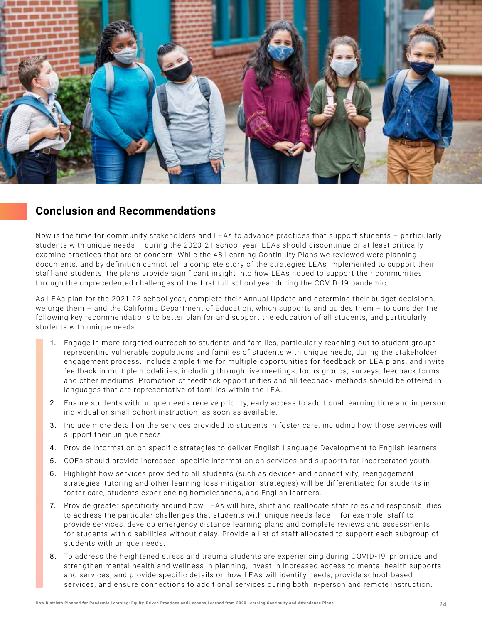<span id="page-23-0"></span>

### **Conclusion and Recommendations**

Now is the time for community stakeholders and LEAs to advance practices that support students - particularly students with unique needs – during the 2020 -21 school year. LE As should discontinue or at least critically examine practices that are of concern. While the 48 Learning Continuity Plans we reviewed were planning documents, and by definition cannot tell a complete story of the strategies LE As implemented to support their staff and students, the plans provide significant insight into how LE As hoped to support their communities through the unprecedented challenges of the first full school year during the COVID -19 pandemic.

As LE As plan for the 2021-22 school year, complete their Annual Update and determine their budget decisions, we urge them – and the California Department of Education, which supports and guides them – to consider the following key recommendations to better plan for and support the education of all students, and particularly students with unique needs:

- 1. Engage in more targeted outreach to students and families, particularly reaching out to student groups representing vulnerable populations and families of students with unique needs, during the stakeholder engagement process. Include ample time for multiple opportunities for feedback on LEA plans, and invite feedback in multiple modalities, including through live meetings, focus groups, surveys, feedback forms and other mediums. Promotion of feedback opportunities and all feedback methods should be offered in languages that are representative of families within the LEA.
- 2. Ensure students with unique needs receive priority, early access to additional learning time and in-person individual or small cohort instruction, as soon as available.
- 3. Include more detail on the services provided to students in foster care, including how those services will support their unique needs.
- 4. Provide information on specific strategies to deliver English Language Development to English learners.
- 5. COEs should provide increased, specific information on services and supports for incarcerated youth.
- 6. Highlight how services provided to all students (such as devices and connectivity, reengagement strategies, tutoring and other learning loss mitigation strategies) will be differentiated for students in foster care, students experiencing homelessness, and English learners.
- 7. Provide greater specificity around how LEAs will hire, shift and reallocate staff roles and responsibilities to address the particular challenges that students with unique needs face – for example, staff to provide services, develop emergency distance learning plans and complete reviews and assessments for students with disabilities without delay. Provide a list of staff allocated to support each subgroup of students with unique needs.
- 8. To address the heightened stress and trauma students are experiencing during COVID -19, prioritize and strengthen mental health and wellness in planning, invest in increased access to mental health supports and services, and provide specific details on how LE As will identify needs, provide school-based services, and ensure connections to additional services during both in-person and remote instruction.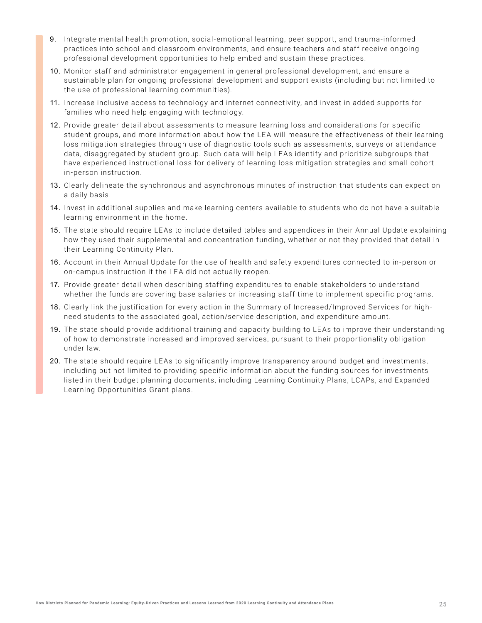- 9. Integrate mental health promotion, social-emotional learning, peer support, and trauma-informed practices into school and classroom environments, and ensure teachers and staff receive ongoing professional development opportunities to help embed and sustain these practices.
- 10. Monitor staff and administrator engagement in general professional development, and ensure a sustainable plan for ongoing professional development and support exists (including but not limited to the use of professional learning communities).
- 11. Increase inclusive access to technology and internet connectivity, and invest in added supports for families who need help engaging with technology.
- 12. Provide greater detail about assessments to measure learning loss and considerations for specific student groups, and more information about how the LEA will measure the effectiveness of their learning loss mitigation strategies through use of diagnostic tools such as assessments, surveys or attendance data, disaggregated by student group. Such data will help LEAs identify and prioritize subgroups that have experienced instructional loss for delivery of learning loss mitigation strategies and small cohort in-person instruction.
- 13. Clearly delineate the synchronous and asynchronous minutes of instruction that students can expect on a daily basis.
- 14. Invest in additional supplies and make learning centers available to students who do not have a suitable learning environment in the home.
- 15. The state should require LEAs to include detailed tables and appendices in their Annual Update explaining how they used their supplemental and concentration funding, whether or not they provided that detail in their Learning Continuity Plan.
- 16. Account in their Annual Update for the use of health and safety expenditures connected to in-person or on-campus instruction if the LEA did not actually reopen.
- 17. Provide greater detail when describing staffing expenditures to enable stakeholders to understand whether the funds are covering base salaries or increasing staff time to implement specific programs.
- 18. Clearly link the justification for every action in the Summary of Increased/Improved Services for highneed students to the associated goal, action/service description, and expenditure amount.
- 19. The state should provide additional training and capacity building to LE As to improve their understanding of how to demonstrate increased and improved services, pursuant to their proportionality obligation under law.
- 20. The state should require LEAs to significantly improve transparency around budget and investments, including but not limited to providing specific information about the funding sources for investments listed in their budget planning documents, including Learning Continuity Plans, LCAPs, and Expanded Learning Opportunities Grant plans.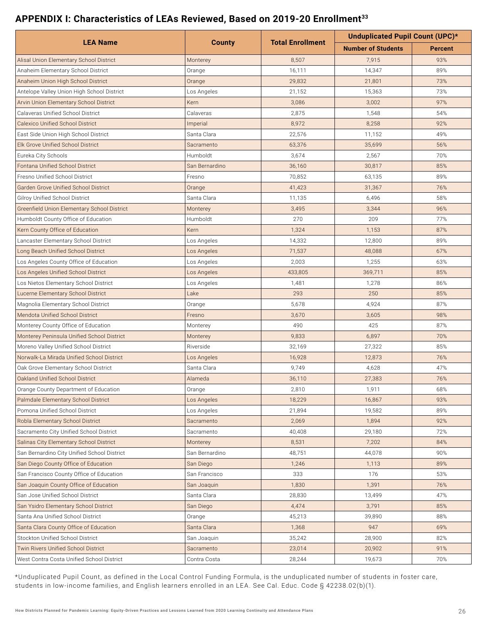### <span id="page-25-0"></span>**APPENDIX I: Characteristics of LEAs Reviewed, Based on 2019-20 Enrollment33**

|                                             |                |                         | Unduplicated Pupil Count (UPC)* |                |  |
|---------------------------------------------|----------------|-------------------------|---------------------------------|----------------|--|
| <b>LEA Name</b>                             | <b>County</b>  | <b>Total Enrollment</b> | <b>Number of Students</b>       | <b>Percent</b> |  |
| Alisal Union Elementary School District     | Monterey       | 8,507                   | 7,915                           | 93%            |  |
| Anaheim Elementary School District          | Orange         | 16,111                  | 14,347                          | 89%            |  |
| Anaheim Union High School District          | Orange         | 29,832                  | 21,801                          | 73%            |  |
| Antelope Valley Union High School District  | Los Angeles    | 21,152                  | 15,363                          | 73%            |  |
| Arvin Union Elementary School District      | Kern           | 3,086                   | 3,002                           | 97%            |  |
| Calaveras Unified School District           | Calaveras      | 2,875                   | 1,548                           | 54%            |  |
| <b>Calexico Unified School District</b>     | Imperial       | 8,972                   | 8,258                           | 92%            |  |
| East Side Union High School District        | Santa Clara    | 22,576                  | 11,152                          | 49%            |  |
| Elk Grove Unified School District           | Sacramento     | 63,376                  | 35,699                          | 56%            |  |
| Eureka City Schools                         | Humboldt       | 3,674                   | 2,567                           | 70%            |  |
| Fontana Unified School District             | San Bernardino | 36,160                  | 30,817                          | 85%            |  |
| Fresno Unified School District              | Fresno         | 70,852                  | 63,135                          | 89%            |  |
| Garden Grove Unified School District        | Orange         | 41,423                  | 31,367                          | 76%            |  |
| <b>Gilroy Unified School District</b>       | Santa Clara    | 11,135                  | 6,496                           | 58%            |  |
| Greenfield Union Elementary School District | Monterey       | 3,495                   | 3,344                           | 96%            |  |
| Humboldt County Office of Education         | Humboldt       | 270                     | 209                             | 77%            |  |
| Kern County Office of Education             | Kern           | 1,324                   | 1,153                           | 87%            |  |
| Lancaster Elementary School District        | Los Angeles    | 14,332                  | 12,800                          | 89%            |  |
| Long Beach Unified School District          | Los Angeles    | 71,537                  | 48,088                          | 67%            |  |
| Los Angeles County Office of Education      | Los Angeles    | 2,003                   | 1,255                           | 63%            |  |
| Los Angeles Unified School District         | Los Angeles    | 433,805                 | 369,711                         | 85%            |  |
| Los Nietos Elementary School District       | Los Angeles    | 1,481                   | 1,278                           | 86%            |  |
| Lucerne Elementary School District          | Lake           | 293                     | 250                             | 85%            |  |
| Magnolia Elementary School District         | Orange         | 5,678                   | 4,924                           | 87%            |  |
| <b>Mendota Unified School District</b>      | Fresno         | 3,670                   | 3,605                           | 98%            |  |
| Monterey County Office of Education         | Monterey       | 490                     | 425                             | 87%            |  |
| Monterey Peninsula Unified School District  | Monterey       | 9,833                   | 6,897                           | 70%            |  |
| Moreno Valley Unified School District       | Riverside      | 32,169                  | 27,322                          | 85%            |  |
| Norwalk-La Mirada Unified School District   | Los Angeles    | 16,928                  | 12,873                          | 76%            |  |
| Oak Grove Elementary School District        | Santa Clara    | 9,749                   | 4,628                           | 47%            |  |
| Oakland Unified School District             | Alameda        | 36,110                  | 27,383                          | 76%            |  |
| Orange County Department of Education       | Orange         | 2,810                   | 1,911                           | 68%            |  |
| Palmdale Elementary School District         | Los Angeles    | 18,229                  | 16,867                          | 93%            |  |
| Pomona Unified School District              | Los Angeles    | 21,894                  | 19,582                          | 89%            |  |
| Robla Elementary School District            | Sacramento     | 2,069                   | 1,894                           | 92%            |  |
| Sacramento City Unified School District     | Sacramento     | 40,408                  | 29,180                          | 72%            |  |
| Salinas City Elementary School District     | Monterey       | 8,531                   | 7,202                           | 84%            |  |
| San Bernardino City Unified School District | San Bernardino | 48,751                  | 44,078                          | 90%            |  |
| San Diego County Office of Education        | San Diego      | 1,246                   | 1,113                           | 89%            |  |
| San Francisco County Office of Education    | San Francisco  | 333                     | 176                             | 53%            |  |
| San Joaquin County Office of Education      | San Joaquin    | 1,830                   | 1,391                           | 76%            |  |
| San Jose Unified School District            | Santa Clara    | 28,830                  | 13,499                          | 47%            |  |
| San Ysidro Elementary School District       | San Diego      | 4,474                   | 3,791                           | 85%            |  |
| Santa Ana Unified School District           | Orange         | 45,213                  | 39,890                          | 88%            |  |
| Santa Clara County Office of Education      | Santa Clara    | 1,368                   | 947                             | 69%            |  |
| Stockton Unified School District            | San Joaquin    | 35,242                  | 28,900                          | 82%            |  |
| Twin Rivers Unified School District         | Sacramento     | 23,014                  | 20,902                          | 91%            |  |
| West Contra Costa Unified School District   | Contra Costa   | 28,244                  | 19,673                          | 70%            |  |

\*Unduplicated Pupil Count, as defined in the Local Control Funding Formula, is the unduplicated number of students in foster care, students in low-income families, and English learners enrolled in an LEA. See Cal. Educ. Code § 42238.02(b)(1).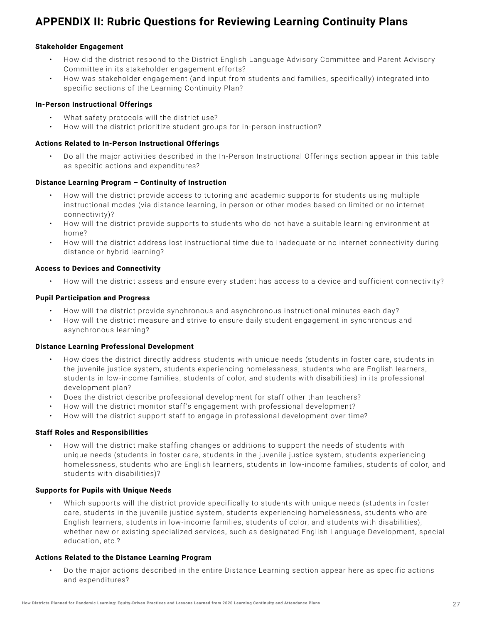# <span id="page-26-0"></span>**APPENDIX II: Rubric Questions for Reviewing Learning Continuity Plans**

### **Stakeholder Engagement**

- How did the district respond to the District English Language Advisory Committee and Parent Advisory Committee in its stakeholder engagement efforts?
- How was stakeholder engagement (and input from students and families, specifically) integrated into specific sections of the Learning Continuity Plan?

### **In-Person Instructional Offerings**

- What safety protocols will the district use?
- How will the district prioritize student groups for in-person instruction?

### **Actions Related to In-Person Instructional Offerings**

• Do all the major activities described in the In-Person Instructional Offerings section appear in this table as specific actions and expenditures?

### **Distance Learning Program – Continuity of Instruction**

- How will the district provide access to tutoring and academic supports for students using multiple instructional modes (via distance learning, in person or other modes based on limited or no internet connectivity)?
- How will the district provide supports to students who do not have a suitable learning environment at home?
- How will the district address lost instructional time due to inadequate or no internet connectivity during distance or hybrid learning?

### **Access to Devices and Connectivity**

• How will the district assess and ensure every student has access to a device and sufficient connectivity?

### **Pupil Participation and Progress**

- How will the district provide synchronous and asynchronous instructional minutes each day?
- How will the district measure and strive to ensure daily student engagement in synchronous and asynchronous learning?

### **Distance Learning Professional Development**

- How does the district directly address students with unique needs (students in foster care, students in the juvenile justice system, students experiencing homelessness, students who are English learners, students in low-income families, students of color, and students with disabilities) in its professional development plan?
- Does the district describe professional development for staff other than teachers?
- How will the district monitor staff's engagement with professional development?
- How will the district support staff to engage in professional development over time?

### **Staff Roles and Responsibilities**

• How will the district make staffing changes or additions to support the needs of students with unique needs (students in foster care, students in the juvenile justice system, students experiencing homelessness, students who are English learners, students in low-income families, students of color, and students with disabilities)?

#### **Supports for Pupils with Unique Needs**

• Which supports will the district provide specifically to students with unique needs (students in foster care, students in the juvenile justice system, students experiencing homelessness, students who are English learners, students in low-income families, students of color, and students with disabilities), whether new or existing specialized services, such as designated English Language Development, special education, etc.?

### **Actions Related to the Distance Learning Program**

• Do the major actions described in the entire Distance Learning section appear here as specific actions and expenditures?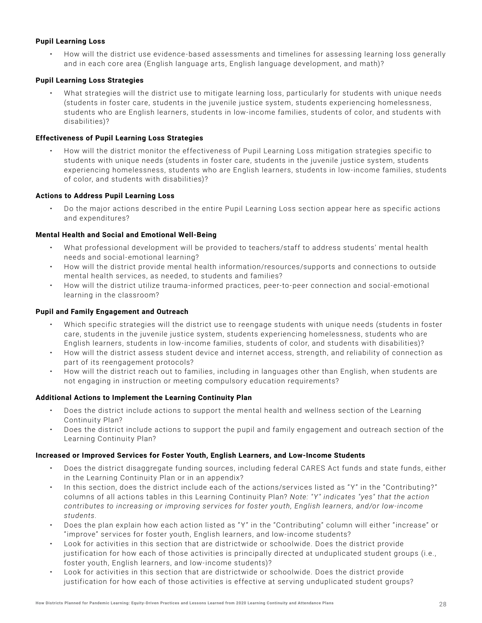### **Pupil Learning Loss**

• How will the district use evidence-based assessments and timelines for assessing learning loss generally and in each core area (English language arts, English language development, and math)?

### **Pupil Learning Loss Strategies**

• What strategies will the district use to mitigate learning loss, particularly for students with unique needs (students in foster care, students in the juvenile justice system, students experiencing homelessness, students who are English learners, students in low-income families, students of color, and students with disabilities)?

### **Effectiveness of Pupil Learning Loss Strategies**

• How will the district monitor the effectiveness of Pupil Learning Loss mitigation strategies specific to students with unique needs (students in foster care, students in the juvenile justice system, students experiencing homelessness, students who are English learners, students in low-income families, students of color, and students with disabilities)?

### **Actions to Address Pupil Learning Loss**

• Do the major actions described in the entire Pupil Learning Loss section appear here as specific actions and expenditures?

### **Mental Health and Social and Emotional Well-Being**

- What professional development will be provided to teachers/staff to address students' mental health needs and social-emotional learning?
- How will the district provide mental health information/resources/supports and connections to outside mental health services, as needed, to students and families?
- How will the district utilize trauma-informed practices, peer-to-peer connection and social-emotional learning in the classroom?

### **Pupil and Family Engagement and Outreach**

- Which specific strategies will the district use to reengage students with unique needs (students in foster care, students in the juvenile justice system, students experiencing homelessness, students who are English learners, students in low-income families, students of color, and students with disabilities)?
- How will the district assess student device and internet access, strength, and reliability of connection as part of its reengagement protocols?
- How will the district reach out to families, including in languages other than English, when students are not engaging in instruction or meeting compulsory education requirements?

### **Additional Actions to Implement the Learning Continuity Plan**

- Does the district include actions to support the mental health and wellness section of the Learning Continuity Plan?
- Does the district include actions to support the pupil and family engagement and outreach section of the Learning Continuity Plan?

### **Increased or Improved Services for Foster Youth, English Learners, and Low-Income Students**

- Does the district disaggregate funding sources, including federal CARES Act funds and state funds, either in the Learning Continuity Plan or in an appendix?
- In this section, does the district include each of the actions/services listed as " Y" in the "Contributing?" columns of all actions tables in this Learning Continuity Plan? *Note: "Y" indicates "yes" that the action contributes to increasing or improving services for foster youth, English learners, and/or low-income students.*
- Does the plan explain how each action listed as " Y" in the "Contributing" column will either "increase" or "improve" services for foster youth, English learners, and low-income students?
- Look for activities in this section that are districtwide or schoolwide. Does the district provide justification for how each of those activities is principally directed at unduplicated student groups (i.e., foster youth, English learners, and low-income students)?
- Look for activities in this section that are districtwide or schoolwide. Does the district provide justification for how each of those activities is effective at serving unduplicated student groups?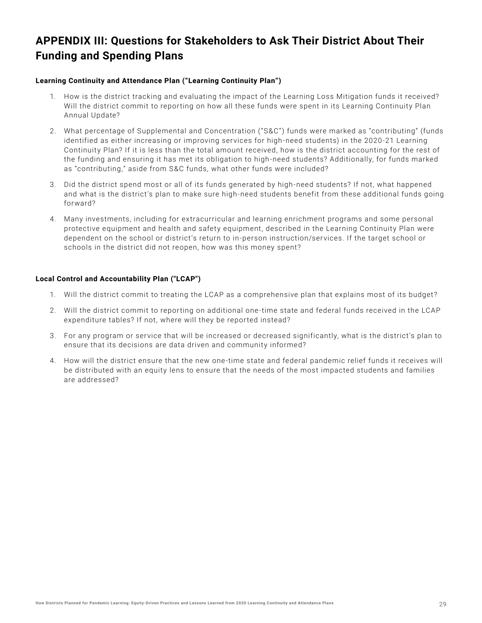# <span id="page-28-0"></span>**APPENDIX III: Questions for Stakeholders to Ask Their District About Their Funding and Spending Plans**

### **Learning Continuity and Attendance Plan ("Learning Continuity Plan")**

- 1. How is the district tracking and evaluating the impact of the Learning Loss Mitigation funds it received? Will the district commit to reporting on how all these funds were spent in its Learning Continuity Plan Annual Update?
- 2. What percentage of Supplemental and Concentration ("S&C") funds were marked as "contributing" (funds identified as either increasing or improving services for high-need students) in the 2020 -21 Learning Continuity Plan? If it is less than the total amount received, how is the district accounting for the rest of the funding and ensuring it has met its obligation to high-need students? Additionally, for funds marked as "contributing," aside from S&C funds, what other funds were included?
- 3. Did the district spend most or all of its funds generated by high-need students? If not, what happened and what is the district's plan to make sure high-need students benefit from these additional funds going forward?
- 4. Many investments, including for extracurricular and learning enrichment programs and some personal protective equipment and health and safety equipment, described in the Learning Continuity Plan were dependent on the school or district's return to in-person instruction/services. If the target school or schools in the district did not reopen, how was this money spent?

### **Local Control and Accountability Plan ("LCAP")**

- 1. Will the district commit to treating the LCAP as a comprehensive plan that explains most of its budget?
- 2. Will the district commit to reporting on additional one-time state and federal funds received in the LCAP expenditure tables? If not, where will they be reported instead?
- 3. For any program or service that will be increased or decreased significantly, what is the district's plan to ensure that its decisions are data driven and community informed?
- 4. How will the district ensure that the new one-time state and federal pandemic relief funds it receives will be distributed with an equity lens to ensure that the needs of the most impacted students and families are addressed?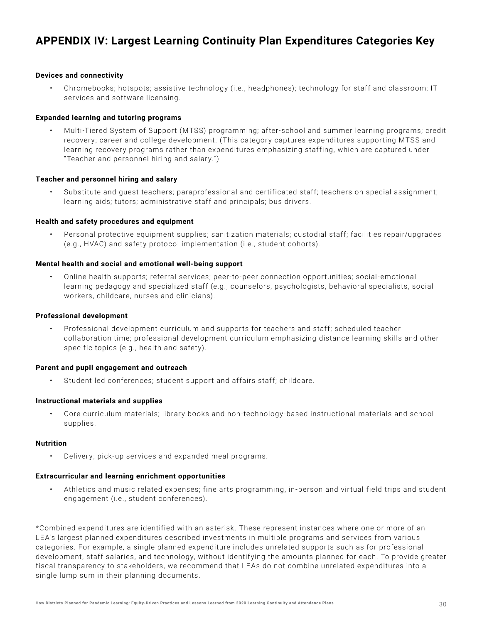# <span id="page-29-0"></span>**APPENDIX IV: Largest Learning Continuity Plan Expenditures Categories Key**

#### **Devices and connectivity**

• Chromebooks; hotspots; assistive technology (i.e., headphones); technology for staff and classroom; IT services and software licensing.

### **Expanded learning and tutoring programs**

• Multi-Tiered System of Support (MTSS) programming; after-school and summer learning programs; credit recovery; career and college development. (This category captures expenditures supporting MTSS and learning recovery programs rather than expenditures emphasizing staffing, which are captured under "Teacher and personnel hiring and salary.")

#### **Teacher and personnel hiring and salary**

• Substitute and guest teachers; paraprofessional and certificated staff; teachers on special assignment; learning aids; tutors; administrative staff and principals; bus drivers.

#### **Health and safety procedures and equipment**

• Personal protective equipment supplies; sanitization materials; custodial staff; facilities repair/upgrades (e.g., HVAC) and safety protocol implementation (i.e., student cohorts).

### **Mental health and social and emotional well-being support**

• Online health supports; referral services; peer-to-peer connection opportunities; social-emotional learning pedagogy and specialized staff (e.g., counselors, psychologists, behavioral specialists, social workers, childcare, nurses and clinicians).

### **Professional development**

• Professional development curriculum and supports for teachers and staff; scheduled teacher collaboration time; professional development curriculum emphasizing distance learning skills and other specific topics (e.g., health and safety).

#### **Parent and pupil engagement and outreach**

• Student led conferences; student support and affairs staff; childcare.

#### **Instructional materials and supplies**

• Core curriculum materials; library books and non-technology-based instructional materials and school supplies.

#### **Nutrition**

• Delivery; pick-up services and expanded meal programs.

#### **Extracurricular and learning enrichment opportunities**

• Athletics and music related expenses; fine arts programming, in-person and virtual field trips and student engagement (i.e., student conferences).

\*Combined expenditures are identified with an asterisk. These represent instances where one or more of an LE A's largest planned expenditures described investments in multiple programs and services from various categories. For example, a single planned expenditure includes unrelated supports such as for professional development, staff salaries, and technology, without identifying the amounts planned for each. To provide greater fiscal transparency to stakeholders, we recommend that LE As do not combine unrelated expenditures into a single lump sum in their planning documents.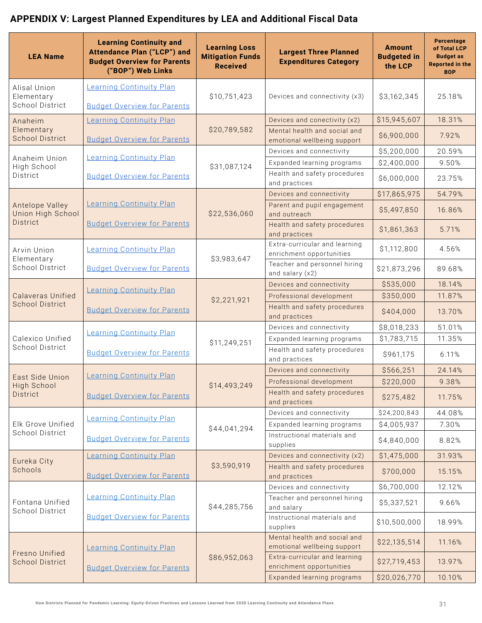# <span id="page-30-0"></span>**APPENDIX V: Largest Planned Expenditures by LEA and Additional Fiscal Data**

| <b>LEA Name</b>                                      | <b>Learning Continuity and</b><br>Attendance Plan ("LCP") and<br><b>Budget Overview for Parents</b><br>("BOP") Web Links | <b>Learning Loss</b><br><b>Mitigation Funds</b><br><b>Received</b> | <b>Largest Three Planned</b><br><b>Expenditures Category</b>                                             | <b>Amount</b><br><b>Budgeted in</b><br>the LCP | Percentage<br>of Total LCP<br><b>Budget as</b><br><b>Reported in the</b><br><b>BOP</b> |
|------------------------------------------------------|--------------------------------------------------------------------------------------------------------------------------|--------------------------------------------------------------------|----------------------------------------------------------------------------------------------------------|------------------------------------------------|----------------------------------------------------------------------------------------|
| Alisal Union<br>Elementary<br><b>School District</b> | Learning Continuity Plan<br><b>Budget Overview for Parents</b>                                                           | \$10,751,423                                                       | Devices and connectivity (x3)                                                                            | \$3,162,345                                    | 25.18%                                                                                 |
| Anaheim<br>Elementary<br><b>School District</b>      | Learning Continuity Plan<br><b>Budget Overview for Parents</b>                                                           | \$20,789,582                                                       | Devices and conectivity (x2)<br>Mental health and social and<br>emotional wellbeing support              | \$15,945,607<br>\$6,900,000                    | 18.31%<br>7.92%                                                                        |
| Anaheim Union<br>High School<br>District             | Learning Continuity Plan<br><b>Budget Overview for Parents</b>                                                           | \$31,087,124                                                       | Devices and connectivity<br>Expanded learning programs<br>Health and safety procedures                   | \$5,200,000<br>\$2,400,000<br>\$6,000,000      | 20.59%<br>9.50%<br>23.75%                                                              |
| Antelope Valley<br><b>Union High School</b>          | Learning Continuity Plan                                                                                                 | \$22,536,060                                                       | and practices<br>Devices and connectivity<br>Parent and pupil engagement<br>and outreach                 | \$17,865,975<br>\$5,497,850                    | 54.79%<br>16.86%                                                                       |
| <b>District</b>                                      | <b>Budget Overview for Parents</b>                                                                                       |                                                                    | Health and safety procedures<br>and practices<br>Extra-curricular and learning                           | \$1,861,363                                    | 5.71%                                                                                  |
| Arvin Union<br>Elementary<br>School District         | Learning Continuity Plan<br><b>Budget Overview for Parents</b>                                                           | \$3,983,647                                                        | enrichment opportunities<br>Teacher and personnel hiring<br>and salary (x2)                              | \$1,112,800<br>\$21,873,296                    | 4.56%<br>89.68%                                                                        |
| <b>Calaveras Unified</b><br><b>School District</b>   | Learning Continuity Plan<br><b>Budget Overview for Parents</b>                                                           | \$2,221,921                                                        | Devices and connectivity<br>Professional development<br>Health and safety procedures                     | \$535,000<br>\$350,000<br>\$404,000            | 18.14%<br>11.87%<br>13.70%                                                             |
| Calexico Unified<br>School District                  | Learning Continuity Plan<br><b>Budget Overview for Parents</b>                                                           | \$11,249,251                                                       | and practices<br>Devices and connectivity<br>Expanded learning programs<br>Health and safety procedures  | \$8,018,233<br>\$1,783,715<br>\$961,175        | 51.01%<br>11.35%<br>6.11%                                                              |
| East Side Union<br>High School<br><b>District</b>    | <b>Learning Continuity Plan</b><br><b>Budget Overview for Parents</b>                                                    | \$14,493,249                                                       | and practices<br>Devices and connectivity<br>Professional development<br>Health and safety procedures    | \$566,251<br>\$220,000<br>\$275,482            | 24.14%<br>9.38%<br>11.75%                                                              |
| Elk Grove Unified<br>School District                 | Learning Continuity Plan<br><b>Budget Overview for Parents</b>                                                           | \$44,041,294                                                       | and practices<br>Devices and connectivity<br>Expanded learning programs<br>Instructional materials and   | \$24,200,843<br>\$4,005,937<br>\$4,840,000     | 44.08%<br>7.30%<br>8.82%                                                               |
| Eureka City<br>Schools                               | <b>Learning Continuity Plan</b><br><b>Budget Overview for Parents</b>                                                    | \$3,590,919                                                        | supplies<br>Devices and connectivity (x2)<br>Health and safety procedures<br>and practices               | \$1,475,000<br>\$700,000                       | 31.93%<br>15.15%                                                                       |
| Fontana Unified<br>School District                   | Learning Continuity Plan<br><b>Budget Overview for Parents</b>                                                           | \$44,285,756                                                       | Devices and connectivity<br>Teacher and personnel hiring<br>and salary<br>Instructional materials and    | \$6,700,000<br>\$5,337,521<br>\$10,500,000     | 12.12%<br>9.66%<br>18.99%                                                              |
| Fresno Unified                                       | Learning Continuity Plan                                                                                                 |                                                                    | supplies<br>Mental health and social and<br>emotional wellbeing support<br>Extra-curricular and learning | \$22,135,514                                   | 11.16%                                                                                 |
| <b>School District</b>                               | <b>Budget Overview for Parents</b>                                                                                       | \$86,952,063                                                       | enrichment opportunities<br>Expanded learning programs                                                   | \$27,719,453<br>\$20,026,770                   | 13.97%<br>10.10%                                                                       |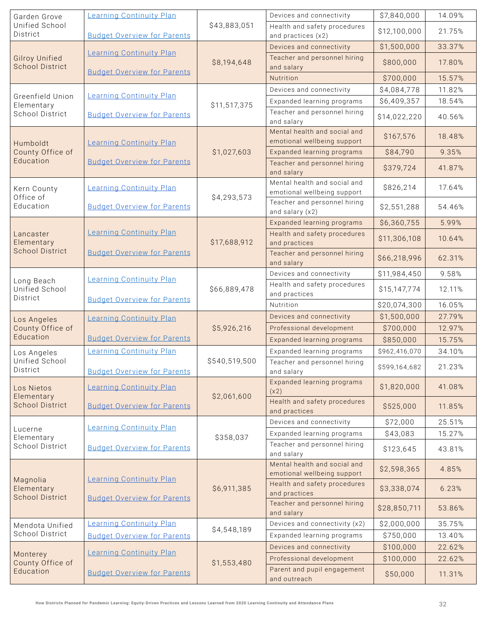| Garden Grove                                     | Learning Continuity Plan           |               | Devices and connectivity                                    | \$7,840,000   | 14.09% |
|--------------------------------------------------|------------------------------------|---------------|-------------------------------------------------------------|---------------|--------|
| Unified School<br>District                       | <b>Budget Overview for Parents</b> | \$43,883,051  | Health and safety procedures<br>and practices (x2)          | \$12,100,000  | 21.75% |
|                                                  | <b>Learning Continuity Plan</b>    |               | Devices and connectivity                                    | \$1,500,000   | 33.37% |
| <b>Gilroy Unified</b><br><b>School District</b>  | <b>Budget Overview for Parents</b> | \$8,194,648   | Teacher and personnel hiring<br>and salary                  | \$800,000     | 17.80% |
|                                                  |                                    |               | Nutrition                                                   | \$700,000     | 15.57% |
|                                                  |                                    |               | Devices and connectivity                                    | \$4,084,778   | 11.82% |
| Greenfield Union<br>Elementary                   | <b>Learning Continuity Plan</b>    | \$11,517,375  | Expanded learning programs                                  | \$6,409,357   | 18.54% |
| School District                                  | <b>Budget Overview for Parents</b> |               | Teacher and personnel hiring<br>and salary                  | \$14,022,220  | 40.56% |
| Humboldt                                         | <b>Learning Continuity Plan</b>    |               | Mental health and social and<br>emotional wellbeing support | \$167,576     | 18.48% |
| County Office of                                 |                                    | \$1,027,603   | Expanded learning programs                                  | \$84,790      | 9.35%  |
| Education                                        | <b>Budget Overview for Parents</b> |               | Teacher and personnel hiring<br>and salary                  | \$379,724     | 41.87% |
| Kern County<br>Office of                         | <b>Learning Continuity Plan</b>    | \$4,293,573   | Mental health and social and<br>emotional wellbeing support | \$826,214     | 17.64% |
| Education                                        | <b>Budget Overview for Parents</b> |               | Teacher and personnel hiring<br>and salary (x2)             | \$2,551,288   | 54.46% |
|                                                  |                                    |               | Expanded learning programs                                  | \$6,360,755   | 5.99%  |
| Lancaster<br>Elementary                          | <b>Learning Continuity Plan</b>    | \$17,688,912  | Health and safety procedures<br>and practices               | \$11,306,108  | 10.64% |
| <b>School District</b>                           | <b>Budget Overview for Parents</b> |               | Teacher and personnel hiring<br>and salary                  | \$66,218,996  | 62.31% |
| Long Beach                                       | <b>Learning Continuity Plan</b>    |               | Devices and connectivity                                    | \$11,984,450  | 9.58%  |
| Unified School<br>District                       | <b>Budget Overview for Parents</b> | \$66,889,478  | Health and safety procedures<br>and practices               | \$15,147,774  | 12.11% |
|                                                  |                                    |               | Nutrition                                                   | \$20,074,300  | 16.05% |
| Los Angeles                                      | <b>Learning Continuity Plan</b>    |               | Devices and connectivity                                    | \$1,500,000   | 27.79% |
| County Office of                                 |                                    | \$5,926,216   | Professional development                                    | \$700,000     | 12.97% |
| Education                                        | <b>Budget Overview for Parents</b> |               | Expanded learning programs                                  | \$850,000     | 15.75% |
| Los Angeles                                      | Learning Continuity Plan           |               | Expanded learning programs                                  | \$962,416,070 | 34.10% |
| Unified School<br>District                       | <b>Budget Overview for Parents</b> | \$540,519,500 | Teacher and personnel hiring<br>and salary                  | \$599,164,682 | 21.23% |
| Los Nietos<br>Elementary                         | <b>Learning Continuity Plan</b>    | \$2,061,600   | Expanded learning programs<br>(x2)                          | \$1,820,000   | 41.08% |
| <b>School District</b>                           | <b>Budget Overview for Parents</b> |               | Health and safety procedures<br>and practices               | \$525,000     | 11.85% |
| Lucerne                                          | Learning Continuity Plan           |               | Devices and connectivity                                    | \$72,000      | 25.51% |
| Elementary                                       |                                    | \$358,037     | Expanded learning programs                                  | \$43,083      | 15.27% |
| School District                                  | <b>Budget Overview for Parents</b> |               | Teacher and personnel hiring<br>and salary                  | \$123,645     | 43.81% |
|                                                  | <b>Learning Continuity Plan</b>    |               | Mental health and social and<br>emotional wellbeing support | \$2,598,365   | 4.85%  |
| Magnolia<br>Elementary<br><b>School District</b> | <b>Budget Overview for Parents</b> | \$6,911,385   | Health and safety procedures<br>and practices               | \$3,338,074   | 6.23%  |
|                                                  |                                    |               | Teacher and personnel hiring<br>and salary                  | \$28,850,711  | 53.86% |
| Mendota Unified                                  | <b>Learning Continuity Plan</b>    | \$4,548,189   | Devices and connectivity (x2)                               | \$2,000,000   | 35.75% |
| School District                                  | <b>Budget Overview for Parents</b> |               | Expanded learning programs                                  | \$750,000     | 13.40% |
| Monterey                                         | <b>Learning Continuity Plan</b>    |               | Devices and connectivity                                    | \$100,000     | 22.62% |
| County Office of                                 |                                    | \$1,553,480   | Professional development                                    | \$100,000     | 22.62% |
| Education                                        | <b>Budget Overview for Parents</b> |               | Parent and pupil engagement<br>and outreach                 | \$50,000      | 11.31% |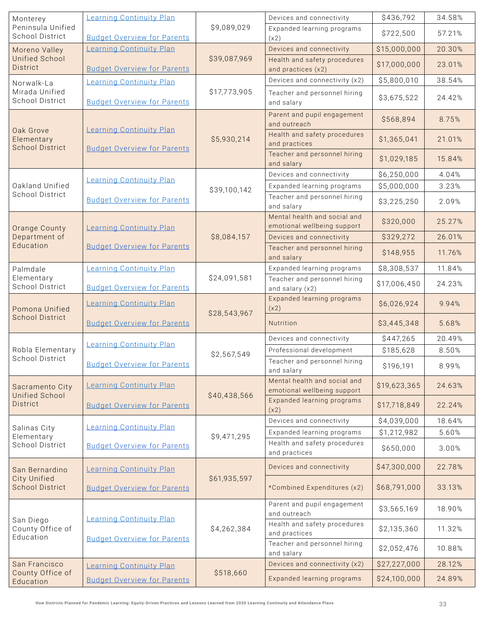| Monterey                                          | Learning Continuity Plan           |              | Devices and connectivity                                    | \$436,792    | 34.58% |
|---------------------------------------------------|------------------------------------|--------------|-------------------------------------------------------------|--------------|--------|
| Peninsula Unified<br><b>School District</b>       | <b>Budget Overview for Parents</b> | \$9,089,029  | Expanded learning programs<br>(x2)                          | \$722,500    | 57.21% |
| Moreno Valley                                     | Learning Continuity Plan           |              | Devices and connectivity                                    | \$15,000,000 | 20.30% |
| <b>Unified School</b><br>District                 | <b>Budget Overview for Parents</b> | \$39,087,969 | Health and safety procedures<br>and practices (x2)          | \$17,000,000 | 23.01% |
| Norwalk-La                                        | Learning Continuity Plan           |              | Devices and connectivity (x2)                               | \$5,800,010  | 38.54% |
| Mirada Unified<br>School District                 | <b>Budget Overview for Parents</b> | \$17,773,905 | Teacher and personnel hiring<br>and salary                  | \$3,675,522  | 24.42% |
|                                                   | Learning Continuity Plan           |              | Parent and pupil engagement<br>and outreach                 | \$568,894    | 8.75%  |
| Oak Grove<br>Elementary<br><b>School District</b> | <b>Budget Overview for Parents</b> | \$5,930,214  | Health and safety procedures<br>and practices               | \$1,365,041  | 21.01% |
|                                                   |                                    |              | Teacher and personnel hiring<br>and salary                  | \$1,029,185  | 15.84% |
|                                                   | <b>Learning Continuity Plan</b>    |              | Devices and connectivity                                    | \$6,250,000  | 4.04%  |
| Oakland Unified<br>School District                |                                    | \$39,100,142 | Expanded learning programs                                  | \$5,000,000  | 3.23%  |
|                                                   | <b>Budget Overview for Parents</b> |              | Teacher and personnel hiring<br>and salary                  | \$3,225,250  | 2.09%  |
| Orange County                                     | <b>Learning Continuity Plan</b>    |              | Mental health and social and<br>emotional wellbeing support | \$320,000    | 25.27% |
| Department of<br>Education                        |                                    | \$8,084,157  | Devices and connectivity                                    | \$329,272    | 26.01% |
|                                                   | <b>Budget Overview for Parents</b> |              | Teacher and personnel hiring<br>and salary                  | \$148,955    | 11.76% |
| Palmdale                                          | Learning Continuity Plan           |              | Expanded learning programs                                  | \$8,308,537  | 11.84% |
| Elementary<br><b>School District</b>              | <b>Budget Overview for Parents</b> | \$24,091,581 | Teacher and personnel hiring<br>and salary (x2)             | \$17,006,450 | 24.23% |
| Pomona Unified                                    | <b>Learning Continuity Plan</b>    | \$28,543,967 | Expanded learning programs<br>(x2)                          | \$6,026,924  | 9.94%  |
| <b>School District</b>                            | <b>Budget Overview for Parents</b> |              | Nutrition                                                   | \$3,445,348  | 5.68%  |
|                                                   | <b>Learning Continuity Plan</b>    |              | Devices and connectivity                                    | \$447,265    | 20.49% |
| Robla Elementary<br>School District               |                                    | \$2,567,549  | Professional development                                    | \$185,628    | 8.50%  |
|                                                   | <b>Budget Overview for Parents</b> |              | Teacher and personnel hiring<br>and salary                  | \$196,191    | 8.99%  |
| Sacramento City<br><b>Unified School</b>          | Learning Continuity Plan           | \$40,438,566 | Mental health and social and<br>emotional wellbeing support | \$19,623,365 | 24.63% |
| <b>District</b>                                   | <b>Budget Overview for Parents</b> |              | Expanded learning programs<br>(x2)                          | \$17,718,849 | 22.24% |
| Salinas City                                      | Learning Continuity Plan           |              | Devices and connectivity                                    | \$4,039,000  | 18.64% |
| Elementary                                        |                                    | \$9,471,295  | Expanded learning programs                                  | \$1,212,982  | 5.60%  |
| <b>School District</b>                            | <b>Budget Overview for Parents</b> |              | Health and safety procedures<br>and practices               | \$650,000    | 3.00%  |
| San Bernardino<br>City Unified                    | <b>Learning Continuity Plan</b>    | \$61,935,597 | Devices and connectivity                                    | \$47,300,000 | 22.78% |
| <b>School District</b>                            | <b>Budget Overview for Parents</b> |              | *Combined Expenditures (x2)                                 | \$68,791,000 | 33.13% |
|                                                   | <b>Learning Continuity Plan</b>    |              | Parent and pupil engagement<br>and outreach                 | \$3,565,169  | 18.90% |
| San Diego<br>County Office of<br>Education        | <b>Budget Overview for Parents</b> | \$4,262,384  | Health and safety procedures<br>and practices               | \$2,135,360  | 11.32% |
|                                                   |                                    |              | Teacher and personnel hiring<br>and salary                  | \$2,052,476  | 10.88% |
| San Francisco                                     | Learning Continuity Plan           |              | Devices and connectivity (x2)                               | \$27,227,000 | 28.12% |
| County Office of<br>Education                     | <b>Budget Overview for Parents</b> | \$518,660    | Expanded learning programs                                  | \$24,100,000 | 24.89% |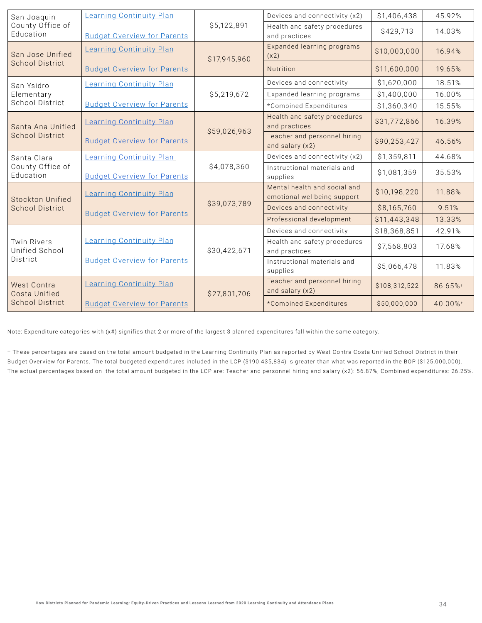| San Joaquin                          | Learning Continuity Plan           |              | Devices and connectivity (x2)                               | \$1,406,438   | 45.92%  |
|--------------------------------------|------------------------------------|--------------|-------------------------------------------------------------|---------------|---------|
| County Office of<br>Education        | <b>Budget Overview for Parents</b> | \$5,122,891  | Health and safety procedures<br>and practices               | \$429,713     | 14.03%  |
| San Jose Unified                     | <b>Learning Continuity Plan</b>    | \$17,945,960 | Expanded learning programs<br>(x2)                          | \$10,000,000  | 16.94%  |
| <b>School District</b>               | <b>Budget Overview for Parents</b> |              | Nutrition                                                   | \$11,600,000  | 19.65%  |
| San Ysidro                           | <b>Learning Continuity Plan</b>    |              | Devices and connectivity                                    | \$1,620,000   | 18.51%  |
| Elementary                           |                                    | \$5,219,672  | Expanded learning programs                                  | \$1,400,000   | 16.00%  |
| School District                      | <b>Budget Overview for Parents</b> |              | *Combined Expenditures                                      | \$1,360,340   | 15.55%  |
| Santa Ana Unified                    | <b>Learning Continuity Plan</b>    | \$59,026,963 | Health and safety procedures<br>and practices               | \$31,772,866  | 16.39%  |
| <b>School District</b>               | <b>Budget Overview for Parents</b> |              | Teacher and personnel hiring<br>and salary (x2)             | \$90,253,427  | 46.56%  |
| Santa Clara                          | Learning Continuity Plan           |              | Devices and connectivity (x2)                               | \$1,359,811   | 44.68%  |
| County Office of<br>Education        | <b>Budget Overview for Parents</b> | \$4,078,360  | Instructional materials and<br>supplies                     | \$1,081,359   | 35.53%  |
| <b>Stockton Unified</b>              | <b>Learning Continuity Plan</b>    |              | Mental health and social and<br>emotional wellbeing support | \$10,198,220  | 11.88%  |
| <b>School District</b>               | <b>Budget Overview for Parents</b> | \$39,073,789 | Devices and connectivity                                    | \$8,165,760   | 9.51%   |
|                                      |                                    |              | Professional development                                    | \$11,443,348  | 13.33%  |
|                                      |                                    |              | Devices and connectivity                                    | \$18,368,851  | 42.91%  |
| <b>Twin Rivers</b><br>Unified School | <b>Learning Continuity Plan</b>    | \$30,422,671 | Health and safety procedures<br>and practices               | \$7,568,803   | 17.68%  |
| District                             | <b>Budget Overview for Parents</b> |              | Instructional materials and<br>supplies                     | \$5,066,478   | 11.83%  |
| West Contra<br>Costa Unified         | <b>Learning Continuity Plan</b>    | \$27,801,706 | Teacher and personnel hiring<br>and salary (x2)             | \$108,312,522 | 86.65%+ |
| <b>School District</b>               | <b>Budget Overview for Parents</b> |              | *Combined Expenditures                                      | \$50,000,000  | 40.00%+ |

Note: Expenditure categories with (x#) signifies that 2 or more of the largest 3 planned expenditures fall within the same category.

† These percentages are based on the total amount budgeted in the Learning Continuity Plan as repor ted by West Contra Costa Unified School District in their Budget Overview for Parents. The total budgeted expenditures included in the LCP (\$190,435,834) is greater than what was reported in the BOP (\$125,000,000). The actual percentages based on the total amount budgeted in the LCP are: Teacher and personnel hiring and salary (x2): 56.87%; Combined expenditures: 26.25%.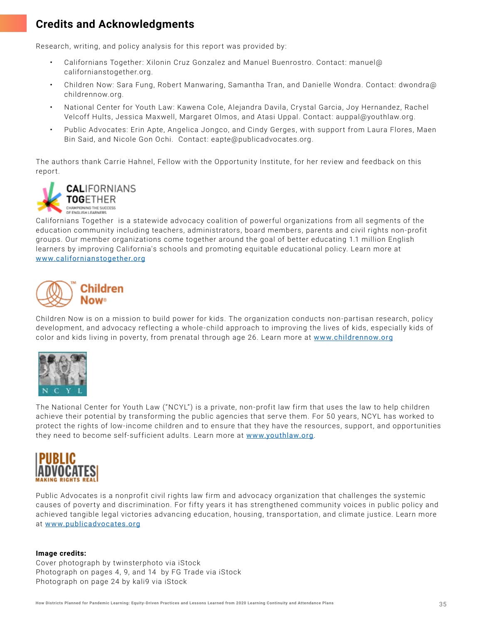# <span id="page-34-0"></span>**Credits and Acknowledgments**

Research, writing, and policy analysis for this report was provided by:

- Californians Together: Xilonin Cruz Gonzalez and Manuel Buenrostro. Contact: manuel@ californianstogether.org.
- Children Now: Sara Fung, Robert Manwaring, Samantha Tran, and Danielle Wondra. Contact: dwondra@ childrennow.org.
- National Center for Youth Law: Kawena Cole, Alejandra Davila, Crystal Garcia, Joy Hernandez, Rachel Velcoff Hults, Jessica Maxwell, Margaret Olmos, and Atasi Uppal. Contact: auppal@youthlaw.org.
- Public Advocates: Erin Apte, Angelica Jongco, and Cindy Gerges, with support from Laura Flores, Maen Bin Said, and Nicole Gon Ochi. Contact: eapte@publicadvocates.org.

The authors thank Carrie Hahnel, Fellow with the Opportunity Institute, for her review and feedback on this report.



Californians Together is a statewide advocacy coalition of powerful organizations from all segments of the education community including teachers, administrators, board members, parents and civil rights non-profit groups. Our member organizations come together around the goal of better educating 1.1 million English learners by improving California's schools and promoting equitable educational policy. Learn more at [www.californianstogether.org](http://www.californianstogether.org)



Children Now is on a mission to build power for kids. The organization conducts non-partisan research, policy development, and advocacy reflecting a whole-child approach to improving the lives of kids, especially kids of color and kids living in poverty, from prenatal through age 26. Learn more at [www.childrennow.org](https://www.childrennow.org)



The National Center for Youth Law ("NCYL") is a private, non-profit law firm that uses the law to help children achieve their potential by transforming the public agencies that serve them. For 50 years, NCYL has worked to protect the rights of low-income children and to ensure that they have the resources, support, and opportunities they need to become self-sufficient adults. Learn more at [www.youthlaw.org](http://www.youthlaw.org).



Public Advocates is a nonprofit civil rights law firm and advocacy organization that challenges the systemic causes of poverty and discrimination. For fifty years it has strengthened community voices in public policy and achieved tangible legal victories advancing education, housing, transportation, and climate justice. Learn more at [www.publicadvocates.org](http://www.publicadvocates.org)

### **Image credits:**

Cover photograph by twinsterphoto via iStock Photograph on pages 4, 9, and 14 by FG Trade via iStock Photograph on page 24 by kali9 via iStock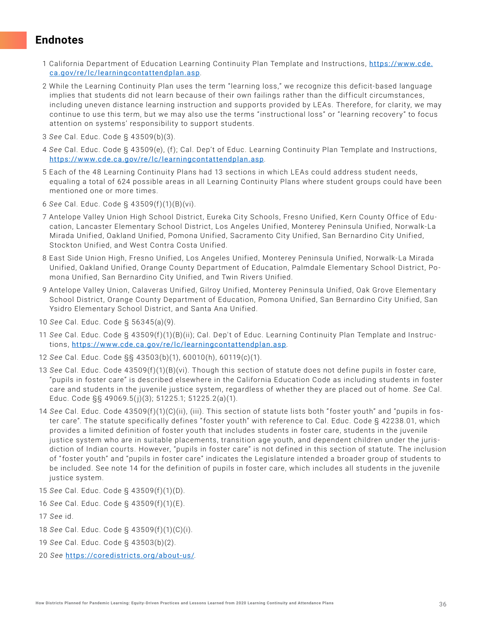### <span id="page-35-0"></span>**Endnotes**

- 1 California Department of Education Learning Continuity Plan Template and Instructions, [https://www.cde.](https://www.cde.ca.gov/re/lc/learningcontattendplan.asp) [ca.gov/re/lc/learningcontattendplan.asp](https://www.cde.ca.gov/re/lc/learningcontattendplan.asp).
- 2 While the Learning Continuity Plan uses the term "learning loss," we recognize this deficit-based language implies that students did not learn because of their own failings rather than the difficult circumstances, including uneven distance learning instruction and supports provided by LEAs. Therefore, for clarity, we may continue to use this term, but we may also use the terms "instructional loss" or "learning recovery" to focus attention on systems' responsibility to support students.
- 3 *See* Cal. Educ. Code § 43509(b)(3).
- 4 *See* Cal. Educ. Code § 43509(e), (f ); Cal. Dep't of Educ. Learning Continuity Plan Template and Instructions, <https://www.cde.ca.gov/re/lc/learningcontattendplan.asp>.
- 5 Each of the 48 Learning Continuity Plans had 13 sections in which LE As could address student needs, equaling a total of 624 possible areas in all Learning Continuity Plans where student groups could have been mentioned one or more times.
- 6 *See* Cal. Educ. Code § 43509(f )(1)(B)(vi).
- 7 Antelope Valley Union High School District, Eureka City Schools, Fresno Unified, Kern County Office of Education, Lancaster Elementary School District, Los Angeles Unified, Monterey Peninsula Unified, Norwalk-La Mirada Unified, Oakland Unified, Pomona Unified, Sacramento City Unified, San Bernardino City Unified, Stockton Unified, and West Contra Costa Unified.
- 8 East Side Union High, Fresno Unified, Los Angeles Unified, Monterey Peninsula Unified, Norwalk-La Mirada Unified, Oakland Unified, Orange County Department of Education, Palmdale Elementary School District, Pomona Unified, San Bernardino City Unified, and Twin Rivers Unified.
- 9 Antelope Valley Union, Calaveras Unified, Gilroy Unified, Monterey Peninsula Unified, Oak Grove Elementary School District, Orange County Department of Education, Pomona Unified, San Bernardino City Unified, San Ysidro Elementary School District, and Santa Ana Unified.
- 10 *See* Cal. Educ. Code § 56345(a)(9).
- 11 See Cal. Educ. Code § 43509(f)(1)(B)(ii); Cal. Dep't of Educ. Learning Continuity Plan Template and Instructions, <https://www.cde.ca.gov/re/lc/learningcontattendplan.asp>.
- 12 *See* Cal. Educ. Code §§ 43503(b)(1), 60010(h), 60119(c)(1).
- 13 See Cal. Educ. Code 43509(f)(1)(B)(vi). Though this section of statute does not define pupils in foster care, "pupils in foster care" is described elsewhere in the California Education Code as including students in foster care and students in the juvenile justice system, regardless of whether they are placed out of home. *See* Cal. Educ. Code §§ 49069.5( j)(3); 51225.1; 51225.2(a)(1).
- 14 *See* Cal. Educ. Code 43509(f)(1)(C)(ii), (iii). This section of statute lists both "foster youth" and "pupils in foster care". The statute specifically defines " foster youth" with reference to Cal. Educ. Code § 42238.01, which provides a limited definition of foster youth that includes students in foster care, students in the juvenile justice system who are in suitable placements, transition age youth, and dependent children under the jurisdiction of Indian courts. However, "pupils in foster care" is not defined in this section of statute. The inclusion of " foster youth" and "pupils in foster care" indicates the Legislature intended a broader group of students to be included. See note 14 for the definition of pupils in foster care, which includes all students in the juvenile justice system.
- 15 *See* Cal. Educ. Code § 43509(f)(1)(D).
- 16 *See* Cal. Educ. Code § 43509(f)(1)(E).
- 17 *See* id.
- 18 *See* Cal. Educ. Code § 43509(f)(1)(C)(i).
- 19 *See* Cal. Educ. Code § 43503(b)(2).
- 20 *See* <https://coredistricts.org/about-us/>.